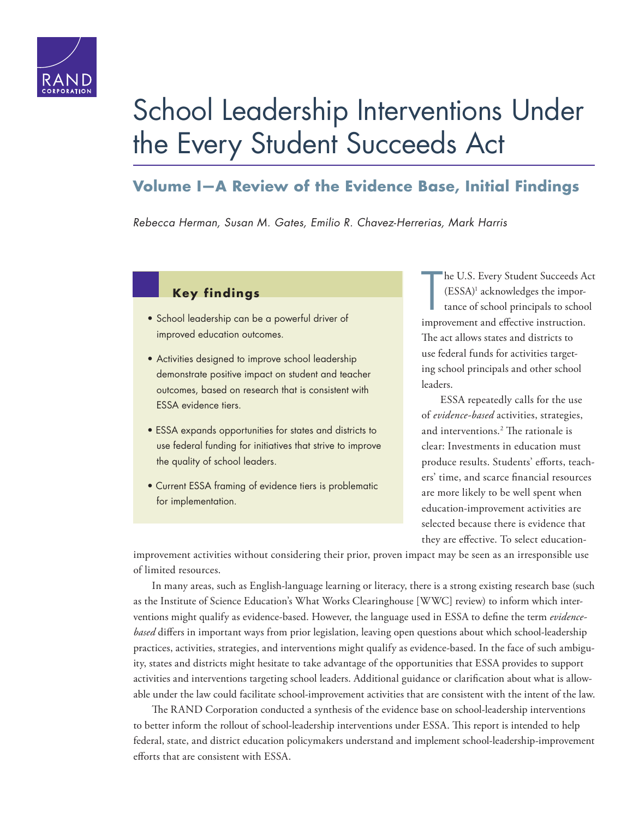

# [School Leadership Interventions Under](http://www.rand.org/pubs/research_reports/RR1550.html)  the Every Student Succeeds Act

## **Volume I—A Review of the Evidence Base, Initial Findings**

*Rebecca Herman, Susan M. Gates, Emilio R. Chavez-Herrerias, Mark Harris*

### **Key findings**

- School leadership can be a powerful driver of improved education outcomes.
- Activities designed to improve school leadership demonstrate positive impact on student and teacher outcomes, based on research that is consistent with ESSA evidence tiers.
- ESSA expands opportunities for states and districts to use federal funding for initiatives that strive to improve the quality of school leaders.
- Current ESSA framing of evidence tiers is problematic for implementation.

T he U.S. Every Student Succeeds Act (ESSA)1 acknowledges the importance of school principals to school improvement and effective instruction. The act allows states and districts to use federal funds for activities targeting school principals and other school leaders.

ESSA repeatedly calls for the use of *evidence-based* activities, strategies, and interventions.2 The rationale is clear: Investments in education must produce results. Students' efforts, teachers' time, and scarce financial resources are more likely to be well spent when education-improvement activities are selected because there is evidence that they are effective. To select education-

improvement activities without considering their prior, proven impact may be seen as an irresponsible use of limited resources.

In many areas, such as English-language learning or literacy, there is a strong existing research base (such as the Institute of Science Education's What Works Clearinghouse [WWC] review) to inform which interventions might qualify as evidence-based. However, the language used in ESSA to define the term *evidencebased* differs in important ways from prior legislation, leaving open questions about which school-leadership practices, activities, strategies, and interventions might qualify as evidence-based. In the face of such ambiguity, states and districts might hesitate to take advantage of the opportunities that ESSA provides to support activities and interventions targeting school leaders. Additional guidance or clarification about what is allowable under the law could facilitate school-improvement activities that are consistent with the intent of the law.

The RAND Corporation conducted a synthesis of the evidence base on school-leadership interventions to better inform the rollout of school-leadership interventions under ESSA. This report is intended to help federal, state, and district education policymakers understand and implement school-leadership-improvement efforts that are consistent with ESSA.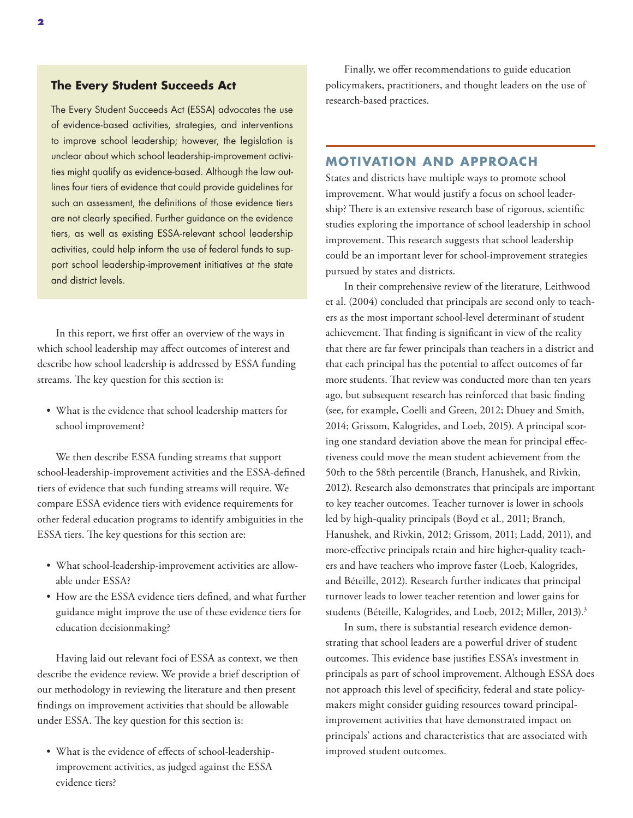#### **The Every Student Succeeds Act**

The Every Student Succeeds Act (ESSA) advocates the use of evidence-based activities, strategies, and interventions to improve school leadership; however, the legislation is unclear about which school leadership-improvement activities might qualify as evidence-based. Although the law outlines four tiers of evidence that could provide guidelines for such an assessment, the definitions of those evidence tiers are not clearly specified. Further guidance on the evidence tiers, as well as existing ESSA-relevant school leadership activities, could help inform the use of federal funds to support school leadership-improvement initiatives at the state and district levels.

In this report, we first offer an overview of the ways in which school leadership may affect outcomes of interest and describe how school leadership is addressed by ESSA funding streams. The key question for this section is:

• What is the evidence that school leadership matters for school improvement?

We then describe ESSA funding streams that support school-leadership-improvement activities and the ESSA-defined tiers of evidence that such funding streams will require. We compare ESSA evidence tiers with evidence requirements for other federal education programs to identify ambiguities in the ESSA tiers. The key questions for this section are:

- What school-leadership-improvement activities are allowable under ESSA?
- How are the ESSA evidence tiers defined, and what further guidance might improve the use of these evidence tiers for education decisionmaking?

Having laid out relevant foci of ESSA as context, we then describe the evidence review. We provide a brief description of our methodology in reviewing the literature and then present findings on improvement activities that should be allowable under ESSA. The key question for this section is:

• What is the evidence of effects of school-leadershipimprovement activities, as judged against the ESSA evidence tiers?

Finally, we offer recommendations to guide education policymakers, practitioners, and thought leaders on the use of research-based practices.

#### **MOTIVATION AND APPROACH**

States and districts have multiple ways to promote school improvement. What would justify a focus on school leadership? There is an extensive research base of rigorous, scientific studies exploring the importance of school leadership in school improvement. This research suggests that school leadership could be an important lever for school-improvement strategies pursued by states and districts.

In their comprehensive review of the literature, Leithwood et al. (2004) concluded that principals are second only to teachers as the most important school-level determinant of student achievement. That finding is significant in view of the reality that there are far fewer principals than teachers in a district and that each principal has the potential to affect outcomes of far more students. That review was conducted more than ten years ago, but subsequent research has reinforced that basic finding (see, for example, Coelli and Green, 2012; Dhuey and Smith, 2014; Grissom, Kalogrides, and Loeb, 2015). A principal scoring one standard deviation above the mean for principal effectiveness could move the mean student achievement from the 50th to the 58th percentile (Branch, Hanushek, and Rivkin, 2012). Research also demonstrates that principals are important to key teacher outcomes. Teacher turnover is lower in schools led by high-quality principals (Boyd et al., 2011; Branch, Hanushek, and Rivkin, 2012; Grissom, 2011; Ladd, 2011), and more-effective principals retain and hire higher-quality teachers and have teachers who improve faster (Loeb, Kalogrides, and Béteille, 2012). Research further indicates that principal turnover leads to lower teacher retention and lower gains for students (Béteille, Kalogrides, and Loeb, 2012; Miller, 2013).<sup>3</sup>

In sum, there is substantial research evidence demonstrating that school leaders are a powerful driver of student outcomes. This evidence base justifies ESSA's investment in principals as part of school improvement. Although ESSA does not approach this level of specificity, federal and state policymakers might consider guiding resources toward principalimprovement activities that have demonstrated impact on principals' actions and characteristics that are associated with improved student outcomes.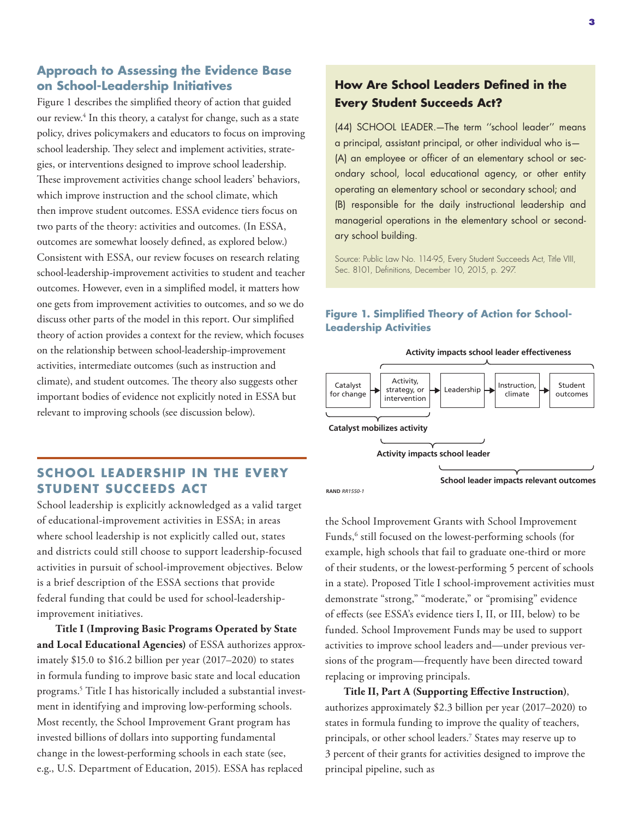### **Approach to Assessing the Evidence Base on School-Leadership Initiatives**

Figure 1 describes the simplified theory of action that guided our review.<sup>4</sup> In this theory, a catalyst for change, such as a state policy, drives policymakers and educators to focus on improving school leadership. They select and implement activities, strategies, or interventions designed to improve school leadership. These improvement activities change school leaders' behaviors, which improve instruction and the school climate, which then improve student outcomes. ESSA evidence tiers focus on two parts of the theory: activities and outcomes. (In ESSA, outcomes are somewhat loosely defined, as explored below.) Consistent with ESSA, our review focuses on research relating school-leadership-improvement activities to student and teacher outcomes. However, even in a simplified model, it matters how one gets from improvement activities to outcomes, and so we do discuss other parts of the model in this report. Our simplified theory of action provides a context for the review, which focuses on the relationship between school-leadership-improvement activities, intermediate outcomes (such as instruction and climate), and student outcomes. The theory also suggests other important bodies of evidence not explicitly noted in ESSA but relevant to improving schools (see discussion below).

## **SCHOOL LEADERSHIP IN THE EVERY STUDENT SUCCEEDS ACT**

School leadership is explicitly acknowledged as a valid target of educational-improvement activities in ESSA; in areas where school leadership is not explicitly called out, states and districts could still choose to support leadership-focused activities in pursuit of school-improvement objectives. Below is a brief description of the ESSA sections that provide federal funding that could be used for school-leadershipimprovement initiatives.

**Title I (Improving Basic Programs Operated by State and Local Educational Agencies)** of ESSA authorizes approximately \$15.0 to \$16.2 billion per year (2017–2020) to states in formula funding to improve basic state and local education programs.5 Title I has historically included a substantial investment in identifying and improving low-performing schools. Most recently, the School Improvement Grant program has invested billions of dollars into supporting fundamental change in the lowest-performing schools in each state (see, e.g., U.S. Department of Education, 2015). ESSA has replaced

## **How Are School Leaders Defined in the Every Student Succeeds Act?**

(44) SCHOOL LEADER.—The term ''school leader'' means a principal, assistant principal, or other individual who is— (A) an employee or officer of an elementary school or secondary school, local educational agency, or other entity operating an elementary school or secondary school; and (B) responsible for the daily instructional leadership and managerial operations in the elementary school or secondary school building.

Source: Public Law No. 114-95, Every Student Succeeds Act, Title VIII, Sec. 8101, Definitions, December 10, 2015, p. 297.

### **Figure 1. Simplified Theory of Action for School-Leadership Activities**



**RAND** *RR1550-1*

the School Improvement Grants with School Improvement Funds,<sup>6</sup> still focused on the lowest-performing schools (for example, high schools that fail to graduate one-third or more of their students, or the lowest-performing 5 percent of schools in a state). Proposed Title I school-improvement activities must demonstrate "strong," "moderate," or "promising" evidence of effects (see ESSA's evidence tiers I, II, or III, below) to be funded. School Improvement Funds may be used to support activities to improve school leaders and—under previous versions of the program—frequently have been directed toward replacing or improving principals.

**Title II, Part A (Supporting Effective Instruction)**, authorizes approximately \$2.3 billion per year (2017–2020) to states in formula funding to improve the quality of teachers, principals, or other school leaders.7 States may reserve up to 3 percent of their grants for activities designed to improve the principal pipeline, such as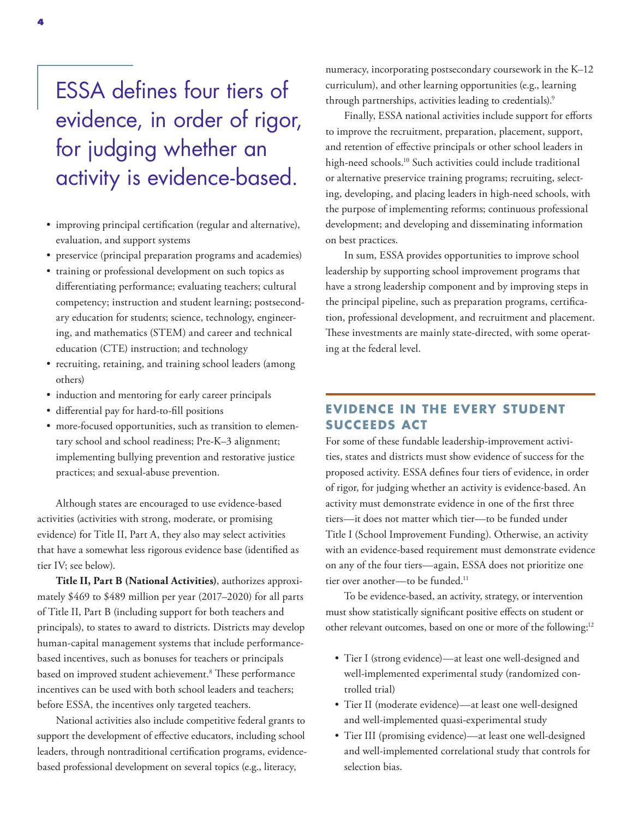## ESSA defines four tiers of evidence, in order of rigor, for judging whether an activity is evidence-based.

- improving principal certification (regular and alternative), evaluation, and support systems
- preservice (principal preparation programs and academies)
- training or professional development on such topics as differentiating performance; evaluating teachers; cultural competency; instruction and student learning; postsecondary education for students; science, technology, engineering, and mathematics (STEM) and career and technical education (CTE) instruction; and technology
- recruiting, retaining, and training school leaders (among others)
- induction and mentoring for early career principals
- differential pay for hard-to-fill positions
- more-focused opportunities, such as transition to elementary school and school readiness; Pre-K–3 alignment; implementing bullying prevention and restorative justice practices; and sexual-abuse prevention.

Although states are encouraged to use evidence-based activities (activities with strong, moderate, or promising evidence) for Title II, Part A, they also may select activities that have a somewhat less rigorous evidence base (identified as tier IV; see below).

**Title II, Part B (National Activities)**, authorizes approximately \$469 to \$489 million per year (2017–2020) for all parts of Title II, Part B (including support for both teachers and principals), to states to award to districts. Districts may develop human-capital management systems that include performancebased incentives, such as bonuses for teachers or principals based on improved student achievement.<sup>8</sup> These performance incentives can be used with both school leaders and teachers; before ESSA, the incentives only targeted teachers.

National activities also include competitive federal grants to support the development of effective educators, including school leaders, through nontraditional certification programs, evidencebased professional development on several topics (e.g., literacy,

numeracy, incorporating postsecondary coursework in the K–12 curriculum), and other learning opportunities (e.g., learning through partnerships, activities leading to credentials).<sup>9</sup>

Finally, ESSA national activities include support for efforts to improve the recruitment, preparation, placement, support, and retention of effective principals or other school leaders in high-need schools.<sup>10</sup> Such activities could include traditional or alternative preservice training programs; recruiting, selecting, developing, and placing leaders in high-need schools, with the purpose of implementing reforms; continuous professional development; and developing and disseminating information on best practices.

In sum, ESSA provides opportunities to improve school leadership by supporting school improvement programs that have a strong leadership component and by improving steps in the principal pipeline, such as preparation programs, certification, professional development, and recruitment and placement. These investments are mainly state-directed, with some operating at the federal level.

### **EV IDENCE IN THE EVERY STUDENT SUCCEEDS ACT**

For some of these fundable leadership-improvement activities, states and districts must show evidence of success for the proposed activity. ESSA defines four tiers of evidence, in order of rigor, for judging whether an activity is evidence-based. An activity must demonstrate evidence in one of the first three tiers—it does not matter which tier—to be funded under Title I (School Improvement Funding). Otherwise, an activity with an evidence-based requirement must demonstrate evidence on any of the four tiers—again, ESSA does not prioritize one tier over another—to be funded.<sup>11</sup>

To be evidence-based, an activity, strategy, or intervention must show statistically significant positive effects on student or other relevant outcomes, based on one or more of the following:12

- Tier I (strong evidence)—at least one well-designed and well-implemented experimental study (randomized controlled trial)
- Tier II (moderate evidence)—at least one well-designed and well-implemented quasi-experimental study
- Tier III (promising evidence)—at least one well-designed and well-implemented correlational study that controls for selection bias.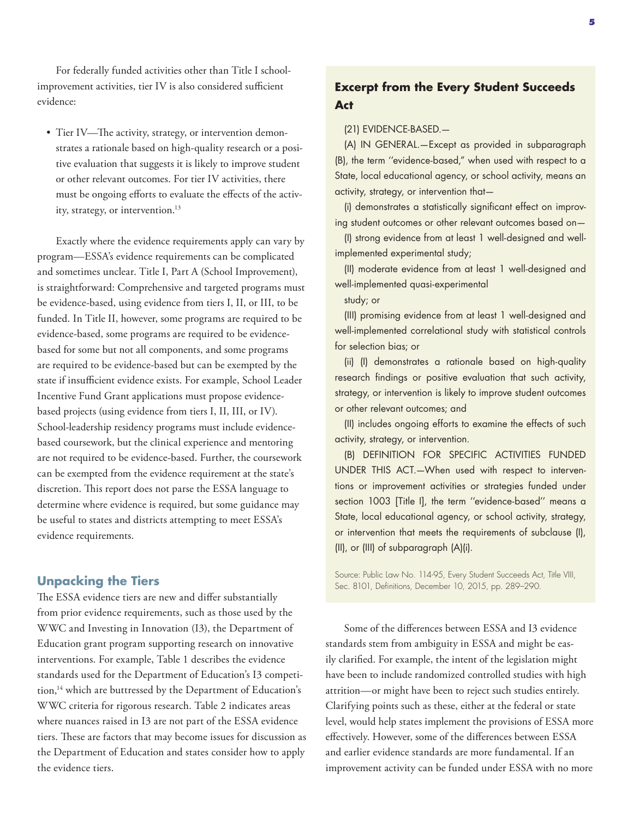For federally funded activities other than Title I schoolimprovement activities, tier IV is also considered sufficient evidence:

• Tier IV—The activity, strategy, or intervention demonstrates a rationale based on high-quality research or a positive evaluation that suggests it is likely to improve student or other relevant outcomes. For tier IV activities, there must be ongoing efforts to evaluate the effects of the activity, strategy, or intervention.<sup>13</sup>

Exactly where the evidence requirements apply can vary by program—ESSA's evidence requirements can be complicated and sometimes unclear. Title I, Part A (School Improvement), is straightforward: Comprehensive and targeted programs must be evidence-based, using evidence from tiers I, II, or III, to be funded. In Title II, however, some programs are required to be evidence-based, some programs are required to be evidencebased for some but not all components, and some programs are required to be evidence-based but can be exempted by the state if insufficient evidence exists. For example, School Leader Incentive Fund Grant applications must propose evidencebased projects (using evidence from tiers I, II, III, or IV). School-leadership residency programs must include evidencebased coursework, but the clinical experience and mentoring are not required to be evidence-based. Further, the coursework can be exempted from the evidence requirement at the state's discretion. This report does not parse the ESSA language to determine where evidence is required, but some guidance may be useful to states and districts attempting to meet ESSA's evidence requirements.

#### **Unpacking the Tiers**

The ESSA evidence tiers are new and differ substantially from prior evidence requirements, such as those used by the WWC and Investing in Innovation (I3), the Department of Education grant program supporting research on innovative interventions. For example, Table 1 describes the evidence standards used for the Department of Education's I3 competition,<sup>14</sup> which are buttressed by the Department of Education's WWC criteria for rigorous research. Table 2 indicates areas where nuances raised in I3 are not part of the ESSA evidence tiers. These are factors that may become issues for discussion as the Department of Education and states consider how to apply the evidence tiers.

## **Excerpt from the Every Student Succeeds Act**

#### (21) EVIDENCE-BASED.—

(A) IN GENERAL.—Except as provided in subparagraph (B), the term ''evidence-based," when used with respect to a State, local educational agency, or school activity, means an activity, strategy, or intervention that—

(i) demonstrates a statistically significant effect on improving student outcomes or other relevant outcomes based on—

(I) strong evidence from at least 1 well-designed and wellimplemented experimental study;

(II) moderate evidence from at least 1 well-designed and well-implemented quasi-experimental

study; or

(III) promising evidence from at least 1 well-designed and well-implemented correlational study with statistical controls for selection bias; or

(ii) (I) demonstrates a rationale based on high-quality research findings or positive evaluation that such activity, strategy, or intervention is likely to improve student outcomes or other relevant outcomes; and

(II) includes ongoing efforts to examine the effects of such activity, strategy, or intervention.

(B) DEFINITION FOR SPECIFIC ACTIVITIES FUNDED UNDER THIS ACT.—When used with respect to interventions or improvement activities or strategies funded under section 1003 [Title I], the term ''evidence-based'' means a State, local educational agency, or school activity, strategy, or intervention that meets the requirements of subclause (I), (II), or (III) of subparagraph (A)(i).

Source: Public Law No. 114-95, Every Student Succeeds Act, Title VIII, Sec. 8101, Definitions, December 10, 2015, pp. 289–290.

Some of the differences between ESSA and I3 evidence standards stem from ambiguity in ESSA and might be easily clarified. For example, the intent of the legislation might have been to include randomized controlled studies with high attrition—or might have been to reject such studies entirely. Clarifying points such as these, either at the federal or state level, would help states implement the provisions of ESSA more effectively. However, some of the differences between ESSA and earlier evidence standards are more fundamental. If an improvement activity can be funded under ESSA with no more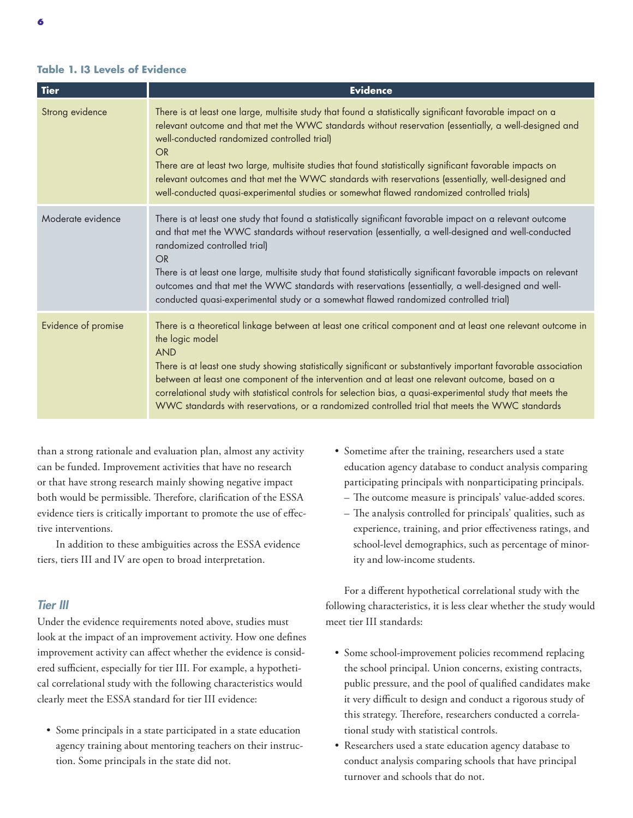#### **Table 1. I3 Levels of Evidence**

| <b>Tier</b>         | <b>Evidence</b>                                                                                                                                                                                                                                                                                                                                                                                                                                                                                                                                                                          |
|---------------------|------------------------------------------------------------------------------------------------------------------------------------------------------------------------------------------------------------------------------------------------------------------------------------------------------------------------------------------------------------------------------------------------------------------------------------------------------------------------------------------------------------------------------------------------------------------------------------------|
| Strong evidence     | There is at least one large, multisite study that found a statistically significant favorable impact on a<br>relevant outcome and that met the WWC standards without reservation (essentially, a well-designed and<br>well-conducted randomized controlled trial)<br>OR<br>There are at least two large, multisite studies that found statistically significant favorable impacts on<br>relevant outcomes and that met the WWC standards with reservations (essentially, well-designed and<br>well-conducted quasi-experimental studies or somewhat flawed randomized controlled trials) |
| Moderate evidence   | There is at least one study that found a statistically significant favorable impact on a relevant outcome<br>and that met the WWC standards without reservation (essentially, a well-designed and well-conducted<br>randomized controlled trial)<br><b>OR</b><br>There is at least one large, multisite study that found statistically significant favorable impacts on relevant<br>outcomes and that met the WWC standards with reservations (essentially, a well-designed and well-<br>conducted quasi-experimental study or a somewhat flawed randomized controlled trial)            |
| Evidence of promise | There is a theoretical linkage between at least one critical component and at least one relevant outcome in<br>the logic model<br><b>AND</b><br>There is at least one study showing statistically significant or substantively important favorable association<br>between at least one component of the intervention and at least one relevant outcome, based on a<br>correlational study with statistical controls for selection bias, a quasi-experimental study that meets the<br>WWC standards with reservations, or a randomized controlled trial that meets the WWC standards      |

than a strong rationale and evaluation plan, almost any activity can be funded. Improvement activities that have no research or that have strong research mainly showing negative impact both would be permissible. Therefore, clarification of the ESSA evidence tiers is critically important to promote the use of effective interventions.

In addition to these ambiguities across the ESSA evidence tiers, tiers III and IV are open to broad interpretation.

#### *Tier III*

Under the evidence requirements noted above, studies must look at the impact of an improvement activity. How one defines improvement activity can affect whether the evidence is considered sufficient, especially for tier III. For example, a hypothetical correlational study with the following characteristics would clearly meet the ESSA standard for tier III evidence:

• Some principals in a state participated in a state education agency training about mentoring teachers on their instruction. Some principals in the state did not.

- Sometime after the training, researchers used a state education agency database to conduct analysis comparing participating principals with nonparticipating principals.
	- The outcome measure is principals' value-added scores.
	- The analysis controlled for principals' qualities, such as experience, training, and prior effectiveness ratings, and school-level demographics, such as percentage of minority and low-income students.

For a different hypothetical correlational study with the following characteristics, it is less clear whether the study would meet tier III standards:

- Some school-improvement policies recommend replacing the school principal. Union concerns, existing contracts, public pressure, and the pool of qualified candidates make it very difficult to design and conduct a rigorous study of this strategy. Therefore, researchers conducted a correlational study with statistical controls.
- Researchers used a state education agency database to conduct analysis comparing schools that have principal turnover and schools that do not.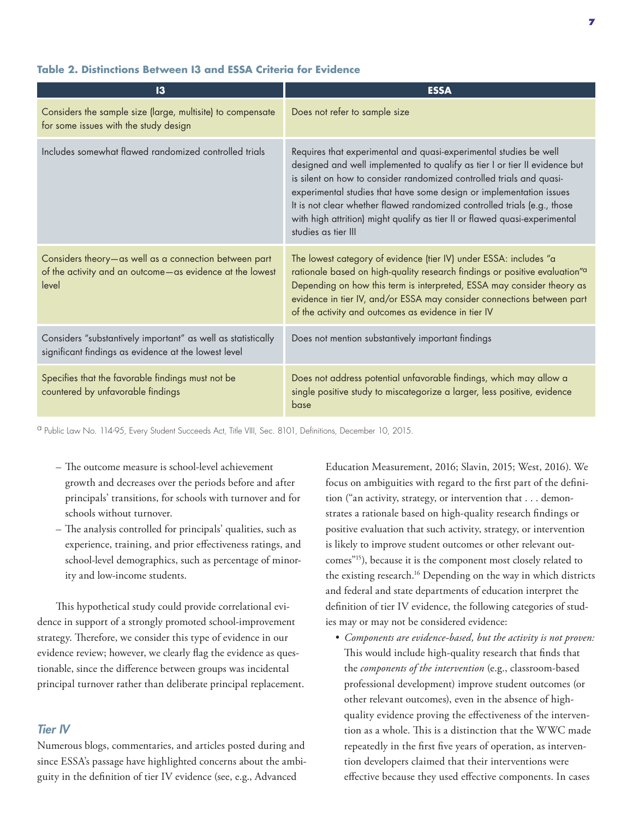| $\mathbf{13}$                                                                                                              | <b>ESSA</b>                                                                                                                                                                                                                                                                                                                                                                                                                                                                     |
|----------------------------------------------------------------------------------------------------------------------------|---------------------------------------------------------------------------------------------------------------------------------------------------------------------------------------------------------------------------------------------------------------------------------------------------------------------------------------------------------------------------------------------------------------------------------------------------------------------------------|
| Considers the sample size (large, multisite) to compensate<br>for some issues with the study design                        | Does not refer to sample size                                                                                                                                                                                                                                                                                                                                                                                                                                                   |
| Includes somewhat flawed randomized controlled trials                                                                      | Requires that experimental and quasi-experimental studies be well<br>designed and well implemented to qualify as tier I or tier II evidence but<br>is silent on how to consider randomized controlled trials and quasi-<br>experimental studies that have some design or implementation issues<br>It is not clear whether flawed randomized controlled trials (e.g., those<br>with high attrition) might qualify as tier II or flawed quasi-experimental<br>studies as tier III |
| Considers theory-as well as a connection between part<br>of the activity and an outcome-as evidence at the lowest<br>level | The lowest category of evidence (tier IV) under ESSA: includes "a<br>rationale based on high-quality research findings or positive evaluation" <sup>a</sup><br>Depending on how this term is interpreted, ESSA may consider theory as<br>evidence in tier IV, and/or ESSA may consider connections between part<br>of the activity and outcomes as evidence in tier IV                                                                                                          |
| Considers "substantively important" as well as statistically<br>significant findings as evidence at the lowest level       | Does not mention substantively important findings                                                                                                                                                                                                                                                                                                                                                                                                                               |
| Specifies that the favorable findings must not be<br>countered by unfavorable findings                                     | Does not address potential unfavorable findings, which may allow a<br>single positive study to miscategorize a larger, less positive, evidence<br>base                                                                                                                                                                                                                                                                                                                          |

#### **Table 2. Distinctions Between I3 and ESSA Criteria for Evidence**

a Public Law No. 114-95, Every Student Succeeds Act, Title VIII, Sec. 8101, Definitions, December 10, 2015.

- The outcome measure is school-level achievement growth and decreases over the periods before and after principals' transitions, for schools with turnover and for schools without turnover.
- The analysis controlled for principals' qualities, such as experience, training, and prior effectiveness ratings, and school-level demographics, such as percentage of minority and low-income students.

This hypothetical study could provide correlational evidence in support of a strongly promoted school-improvement strategy. Therefore, we consider this type of evidence in our evidence review; however, we clearly flag the evidence as questionable, since the difference between groups was incidental principal turnover rather than deliberate principal replacement.

#### *Tier IV*

Numerous blogs, commentaries, and articles posted during and since ESSA's passage have highlighted concerns about the ambiguity in the definition of tier IV evidence (see, e.g., Advanced

Education Measurement, 2016; Slavin, 2015; West, 2016). We focus on ambiguities with regard to the first part of the definition ("an activity, strategy, or intervention that . . . demonstrates a rationale based on high-quality research findings or positive evaluation that such activity, strategy, or intervention is likely to improve student outcomes or other relevant outcomes"15), because it is the component most closely related to the existing research.<sup>16</sup> Depending on the way in which districts and federal and state departments of education interpret the definition of tier IV evidence, the following categories of studies may or may not be considered evidence:

*• Components are evidence-based, but the activity is not proven:*  This would include high-quality research that finds that the *components of the intervention* (e.g., classroom-based professional development) improve student outcomes (or other relevant outcomes), even in the absence of highquality evidence proving the effectiveness of the intervention as a whole. This is a distinction that the WWC made repeatedly in the first five years of operation, as intervention developers claimed that their interventions were effective because they used effective components. In cases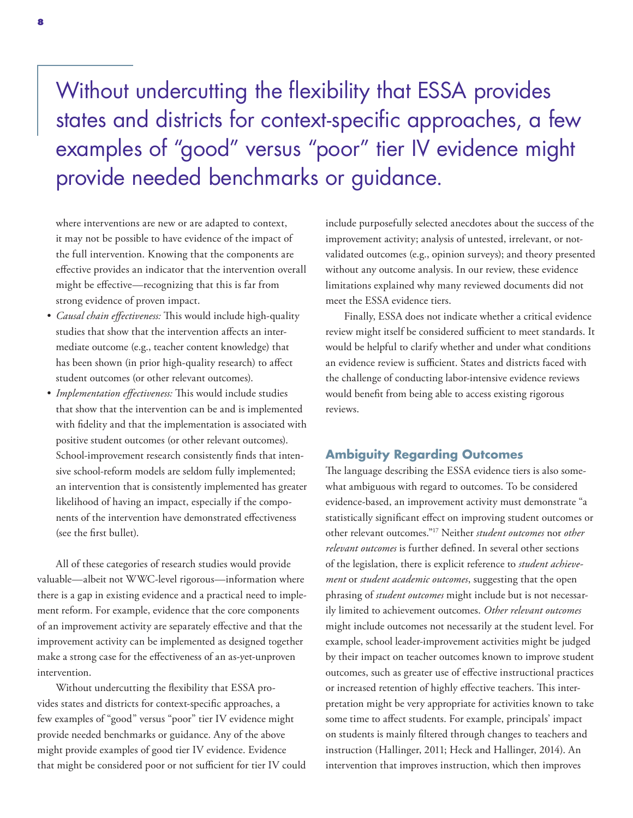## Without undercutting the flexibility that ESSA provides states and districts for context-specific approaches, a few examples of "good" versus "poor" tier IV evidence might provide needed benchmarks or guidance.

where interventions are new or are adapted to context, it may not be possible to have evidence of the impact of the full intervention. Knowing that the components are effective provides an indicator that the intervention overall might be effective—recognizing that this is far from strong evidence of proven impact.

- *• Causal chain effectiveness:* This would include high-quality studies that show that the intervention affects an intermediate outcome (e.g., teacher content knowledge) that has been shown (in prior high-quality research) to affect student outcomes (or other relevant outcomes).
- *• Implementation effectiveness:* This would include studies that show that the intervention can be and is implemented with fidelity and that the implementation is associated with positive student outcomes (or other relevant outcomes). School-improvement research consistently finds that intensive school-reform models are seldom fully implemented; an intervention that is consistently implemented has greater likelihood of having an impact, especially if the components of the intervention have demonstrated effectiveness (see the first bullet).

All of these categories of research studies would provide valuable—albeit not WWC-level rigorous—information where there is a gap in existing evidence and a practical need to implement reform. For example, evidence that the core components of an improvement activity are separately effective and that the improvement activity can be implemented as designed together make a strong case for the effectiveness of an as-yet-unproven intervention.

Without undercutting the flexibility that ESSA provides states and districts for context-specific approaches, a few examples of "good" versus "poor" tier IV evidence might provide needed benchmarks or guidance. Any of the above might provide examples of good tier IV evidence. Evidence that might be considered poor or not sufficient for tier IV could include purposefully selected anecdotes about the success of the improvement activity; analysis of untested, irrelevant, or notvalidated outcomes (e.g., opinion surveys); and theory presented without any outcome analysis. In our review, these evidence limitations explained why many reviewed documents did not meet the ESSA evidence tiers.

Finally, ESSA does not indicate whether a critical evidence review might itself be considered sufficient to meet standards. It would be helpful to clarify whether and under what conditions an evidence review is sufficient. States and districts faced with the challenge of conducting labor-intensive evidence reviews would benefit from being able to access existing rigorous reviews.

#### **Ambiguity Regarding Outcomes**

The language describing the ESSA evidence tiers is also somewhat ambiguous with regard to outcomes. To be considered evidence-based, an improvement activity must demonstrate "a statistically significant effect on improving student outcomes or other relevant outcomes."17 Neither *student outcomes* nor *other relevant outcomes* is further defined. In several other sections of the legislation, there is explicit reference to *student achievement* or *student academic outcomes*, suggesting that the open phrasing of *student outcomes* might include but is not necessarily limited to achievement outcomes. *Other relevant outcomes* might include outcomes not necessarily at the student level. For example, school leader-improvement activities might be judged by their impact on teacher outcomes known to improve student outcomes, such as greater use of effective instructional practices or increased retention of highly effective teachers. This interpretation might be very appropriate for activities known to take some time to affect students. For example, principals' impact on students is mainly filtered through changes to teachers and instruction (Hallinger, 2011; Heck and Hallinger, 2014). An intervention that improves instruction, which then improves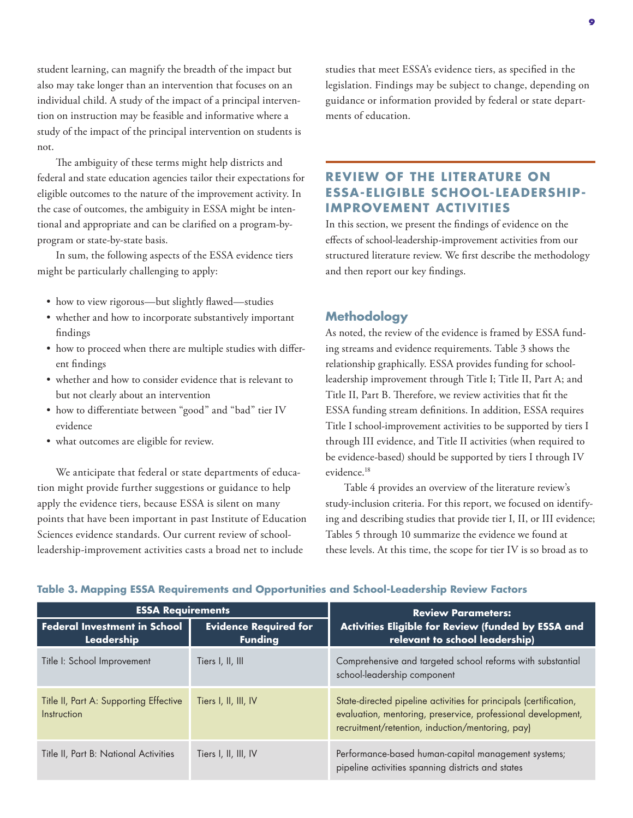student learning, can magnify the breadth of the impact but also may take longer than an intervention that focuses on an individual child. A study of the impact of a principal intervention on instruction may be feasible and informative where a study of the impact of the principal intervention on students is not.

The ambiguity of these terms might help districts and federal and state education agencies tailor their expectations for eligible outcomes to the nature of the improvement activity. In the case of outcomes, the ambiguity in ESSA might be intentional and appropriate and can be clarified on a program-byprogram or state-by-state basis.

In sum, the following aspects of the ESSA evidence tiers might be particularly challenging to apply:

- how to view rigorous—but slightly flawed—studies
- whether and how to incorporate substantively important findings
- how to proceed when there are multiple studies with different findings
- whether and how to consider evidence that is relevant to but not clearly about an intervention
- how to differentiate between "good" and "bad" tier IV evidence
- what outcomes are eligible for review.

We anticipate that federal or state departments of education might provide further suggestions or guidance to help apply the evidence tiers, because ESSA is silent on many points that have been important in past Institute of Education Sciences evidence standards. Our current review of schoolleadership-improvement activities casts a broad net to include

studies that meet ESSA's evidence tiers, as specified in the legislation. Findings may be subject to change, depending on guidance or information provided by federal or state departments of education.

## **REVIEW OF THE LITERATURE ON ESSA-ELIGIBLE SCHOOL-LEADERSHIP-IMPROVEMENT ACTIVITIES**

In this section, we present the findings of evidence on the effects of school-leadership-improvement activities from our structured literature review. We first describe the methodology and then report our key findings.

#### **Methodology**

As noted, the review of the evidence is framed by ESSA funding streams and evidence requirements. Table 3 shows the relationship graphically. ESSA provides funding for schoolleadership improvement through Title I; Title II, Part A; and Title II, Part B. Therefore, we review activities that fit the ESSA funding stream definitions. In addition, ESSA requires Title I school-improvement activities to be supported by tiers I through III evidence, and Title II activities (when required to be evidence-based) should be supported by tiers I through IV evidence.<sup>18</sup>

Table 4 provides an overview of the literature review's study-inclusion criteria. For this report, we focused on identifying and describing studies that provide tier I, II, or III evidence; Tables 5 through 10 summarize the evidence we found at these levels. At this time, the scope for tier IV is so broad as to

| <b>ESSA Requirements</b>                                                                            |                      | <b>Review Parameters:</b>                                                                                                                                                             |  |
|-----------------------------------------------------------------------------------------------------|----------------------|---------------------------------------------------------------------------------------------------------------------------------------------------------------------------------------|--|
| <b>Federal Investment in School</b><br><b>Evidence Required for</b><br>Leadership<br><b>Funding</b> |                      | Activities Eligible for Review (funded by ESSA and<br>relevant to school leadership)                                                                                                  |  |
| Title I: School Improvement                                                                         | Tiers I, II, III     | Comprehensive and targeted school reforms with substantial<br>school-leadership component                                                                                             |  |
| Title II, Part A: Supporting Effective<br>Instruction                                               | Tiers I, II, III, IV | State-directed pipeline activities for principals (certification,<br>evaluation, mentoring, preservice, professional development,<br>recruitment/retention, induction/mentoring, pay) |  |
| Title II, Part B: National Activities                                                               | Tiers I, II, III, IV | Performance-based human-capital management systems;<br>pipeline activities spanning districts and states                                                                              |  |

#### **Table 3. Mapping ESSA Requirements and Opportunities and School-Leadership Review Factors**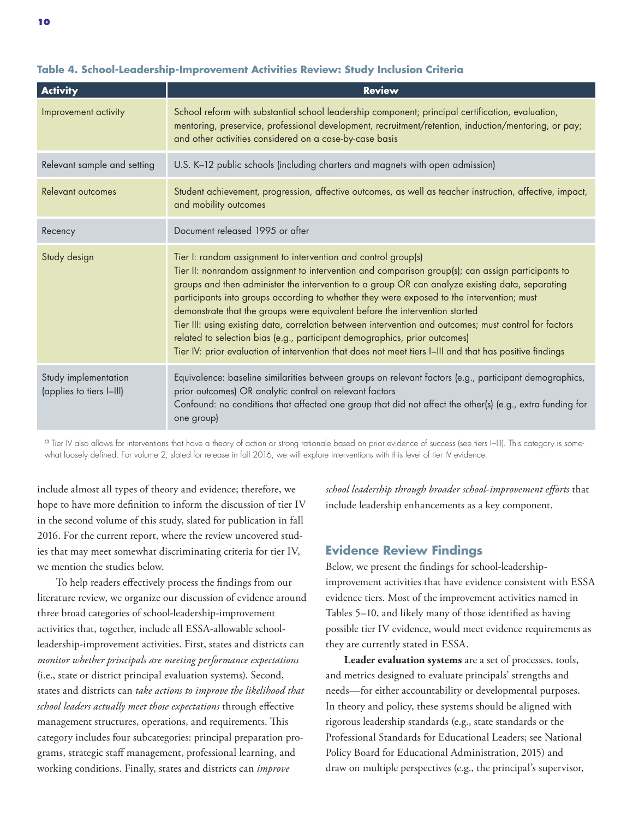| <b>Activity</b>             | <b>Review</b>                                                                                                                                                                                                                                                                                                                                                                                                                                                                                                                                                                                                                                                                                                                                         |  |  |  |
|-----------------------------|-------------------------------------------------------------------------------------------------------------------------------------------------------------------------------------------------------------------------------------------------------------------------------------------------------------------------------------------------------------------------------------------------------------------------------------------------------------------------------------------------------------------------------------------------------------------------------------------------------------------------------------------------------------------------------------------------------------------------------------------------------|--|--|--|
| Improvement activity        | School reform with substantial school leadership component; principal certification, evaluation,<br>mentoring, preservice, professional development, recruitment/retention, induction/mentoring, or pay;<br>and other activities considered on a case-by-case basis                                                                                                                                                                                                                                                                                                                                                                                                                                                                                   |  |  |  |
| Relevant sample and setting | U.S. K-12 public schools (including charters and magnets with open admission)                                                                                                                                                                                                                                                                                                                                                                                                                                                                                                                                                                                                                                                                         |  |  |  |
| Relevant outcomes           | Student achievement, progression, affective outcomes, as well as teacher instruction, affective, impact,<br>and mobility outcomes                                                                                                                                                                                                                                                                                                                                                                                                                                                                                                                                                                                                                     |  |  |  |
| Recency                     | Document released 1995 or after                                                                                                                                                                                                                                                                                                                                                                                                                                                                                                                                                                                                                                                                                                                       |  |  |  |
| Study design                | Tier I: random assignment to intervention and control group(s)<br>Tier II: nonrandom assignment to intervention and comparison group(s); can assign participants to<br>groups and then administer the intervention to a group OR can analyze existing data, separating<br>participants into groups according to whether they were exposed to the intervention; must<br>demonstrate that the groups were equivalent before the intervention started<br>Tier III: using existing data, correlation between intervention and outcomes; must control for factors<br>related to selection bias (e.g., participant demographics, prior outcomes)<br>Tier IV: prior evaluation of intervention that does not meet tiers I-III and that has positive findings |  |  |  |
| Study implementation        | Equivalence: baseline similarities between groups on relevant factors (e.g., participant demographics,                                                                                                                                                                                                                                                                                                                                                                                                                                                                                                                                                                                                                                                |  |  |  |

#### **Table 4. School-Leadership-Improvement Activities Review: Study Inclusion Criteria**

one group)

prior outcomes) OR analytic control on relevant factors

<sup>a</sup> Tier IV also allows for interventions that have a theory of action or strong rationale based on prior evidence of success (see tiers I–III). This category is somewhat loosely defined. For volume 2, slated for release in fall 2016, we will explore interventions with this level of tier IV evidence.

include almost all types of theory and evidence; therefore, we hope to have more definition to inform the discussion of tier IV in the second volume of this study, slated for publication in fall 2016. For the current report, where the review uncovered studies that may meet somewhat discriminating criteria for tier IV, we mention the studies below.

To help readers effectively process the findings from our literature review, we organize our discussion of evidence around three broad categories of school-leadership-improvement activities that, together, include all ESSA-allowable schoolleadership-improvement activities. First, states and districts can *monitor whether principals are meeting performance expectations* (i.e., state or district principal evaluation systems). Second, states and districts can *take actions to improve the likelihood that school leaders actually meet those expectations* through effective management structures, operations, and requirements. This category includes four subcategories: principal preparation programs, strategic staff management, professional learning, and working conditions. Finally, states and districts can *improve* 

*school leadership through broader school-improvement efforts* that include leadership enhancements as a key component.

#### **Evidence Review Findings**

Confound: no conditions that affected one group that did not affect the other(s) (e.g., extra funding for

Below, we present the findings for school-leadershipimprovement activities that have evidence consistent with ESSA evidence tiers. Most of the improvement activities named in Tables 5–10, and likely many of those identified as having possible tier IV evidence, would meet evidence requirements as they are currently stated in ESSA.

**Leader evaluation systems** are a set of processes, tools, and metrics designed to evaluate principals' strengths and needs—for either accountability or developmental purposes. In theory and policy, these systems should be aligned with rigorous leadership standards (e.g., state standards or the Professional Standards for Educational Leaders; see National Policy Board for Educational Administration, 2015) and draw on multiple perspectives (e.g., the principal's supervisor,

(applies to tiers I–III)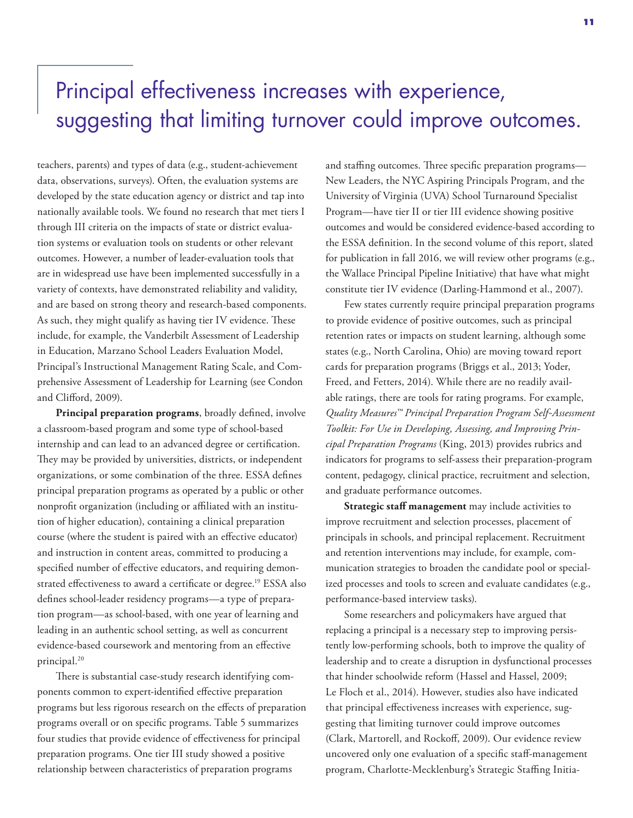## Principal effectiveness increases with experience, suggesting that limiting turnover could improve outcomes.

teachers, parents) and types of data (e.g., student-achievement data, observations, surveys). Often, the evaluation systems are developed by the state education agency or district and tap into nationally available tools. We found no research that met tiers I through III criteria on the impacts of state or district evaluation systems or evaluation tools on students or other relevant outcomes. However, a number of leader-evaluation tools that are in widespread use have been implemented successfully in a variety of contexts, have demonstrated reliability and validity, and are based on strong theory and research-based components. As such, they might qualify as having tier IV evidence. These include, for example, the Vanderbilt Assessment of Leadership in Education, Marzano School Leaders Evaluation Model, Principal's Instructional Management Rating Scale, and Comprehensive Assessment of Leadership for Learning (see Condon and Clifford, 2009).

**Principal preparation programs**, broadly defined, involve a classroom-based program and some type of school-based internship and can lead to an advanced degree or certification. They may be provided by universities, districts, or independent organizations, or some combination of the three. ESSA defines principal preparation programs as operated by a public or other nonprofit organization (including or affiliated with an institution of higher education), containing a clinical preparation course (where the student is paired with an effective educator) and instruction in content areas, committed to producing a specified number of effective educators, and requiring demonstrated effectiveness to award a certificate or degree.<sup>19</sup> ESSA also defines school-leader residency programs—a type of preparation program—as school-based, with one year of learning and leading in an authentic school setting, as well as concurrent evidence-based coursework and mentoring from an effective principal.20

There is substantial case-study research identifying components common to expert-identified effective preparation programs but less rigorous research on the effects of preparation programs overall or on specific programs. Table 5 summarizes four studies that provide evidence of effectiveness for principal preparation programs. One tier III study showed a positive relationship between characteristics of preparation programs

and staffing outcomes. Three specific preparation programs— New Leaders, the NYC Aspiring Principals Program, and the University of Virginia (UVA) School Turnaround Specialist Program—have tier II or tier III evidence showing positive outcomes and would be considered evidence-based according to the ESSA definition. In the second volume of this report, slated for publication in fall 2016, we will review other programs (e.g., the Wallace Principal Pipeline Initiative) that have what might constitute tier IV evidence (Darling-Hammond et al., 2007).

Few states currently require principal preparation programs to provide evidence of positive outcomes, such as principal retention rates or impacts on student learning, although some states (e.g., North Carolina, Ohio) are moving toward report cards for preparation programs (Briggs et al., 2013; Yoder, Freed, and Fetters, 2014). While there are no readily available ratings, there are tools for rating programs. For example, *Quality Measures™ Principal Preparation Program Self‐Assessment Toolkit: For Use in Developing, Assessing, and Improving Principal Preparation Programs* (King, 2013) provides rubrics and indicators for programs to self-assess their preparation-program content, pedagogy, clinical practice, recruitment and selection, and graduate performance outcomes.

**Strategic staff management** may include activities to improve recruitment and selection processes, placement of principals in schools, and principal replacement. Recruitment and retention interventions may include, for example, communication strategies to broaden the candidate pool or specialized processes and tools to screen and evaluate candidates (e.g., performance-based interview tasks).

Some researchers and policymakers have argued that replacing a principal is a necessary step to improving persistently low-performing schools, both to improve the quality of leadership and to create a disruption in dysfunctional processes that hinder schoolwide reform (Hassel and Hassel, 2009; Le Floch et al., 2014). However, studies also have indicated that principal effectiveness increases with experience, suggesting that limiting turnover could improve outcomes (Clark, Martorell, and Rockoff, 2009). Our evidence review uncovered only one evaluation of a specific staff-management program, Charlotte-Mecklenburg's Strategic Staffing Initia-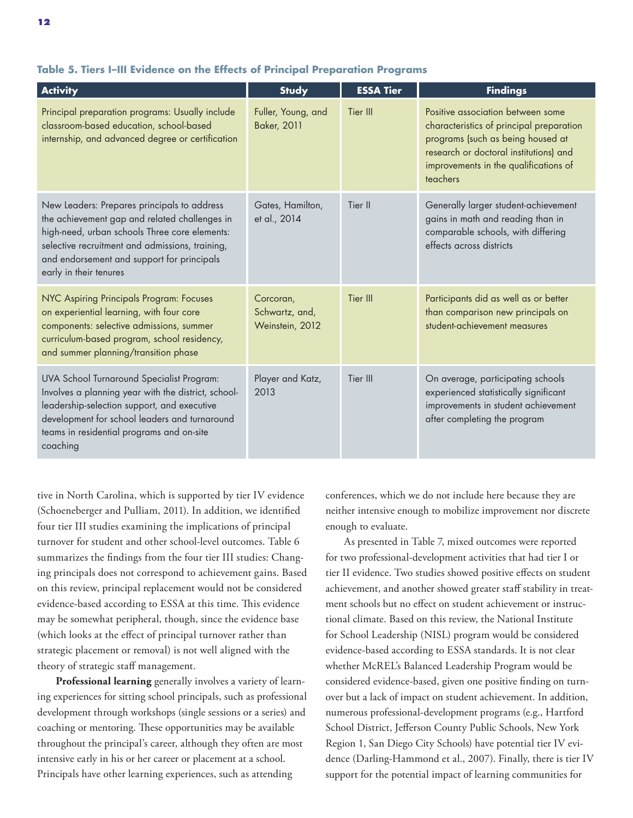| <b>Activity</b>                                                                                                                                                                                                                                                          | <b>Study</b>                                   | <b>ESSA Tier</b> | <b>Findings</b>                                                                                                                                                                                                   |
|--------------------------------------------------------------------------------------------------------------------------------------------------------------------------------------------------------------------------------------------------------------------------|------------------------------------------------|------------------|-------------------------------------------------------------------------------------------------------------------------------------------------------------------------------------------------------------------|
| Principal preparation programs: Usually include<br>classroom-based education, school-based<br>internship, and advanced degree or certification                                                                                                                           | Fuller, Young, and<br><b>Baker, 2011</b>       | Tier III         | Positive association between some<br>characteristics of principal preparation<br>programs (such as being housed at<br>research or doctoral institutions) and<br>improvements in the qualifications of<br>teachers |
| New Leaders: Prepares principals to address<br>the achievement gap and related challenges in<br>high-need, urban schools Three core elements:<br>selective recruitment and admissions, training,<br>and endorsement and support for principals<br>early in their tenures | Gates, Hamilton,<br>et al., 2014               | Tier II          | Generally larger student-achievement<br>gains in math and reading than in<br>comparable schools, with differing<br>effects across districts                                                                       |
| NYC Aspiring Principals Program: Focuses<br>on experiential learning, with four core<br>components: selective admissions, summer<br>curriculum-based program, school residency,<br>and summer planning/transition phase                                                  | Corcoran,<br>Schwartz, and,<br>Weinstein, 2012 | Tier III         | Participants did as well as or better<br>than comparison new principals on<br>student-achievement measures                                                                                                        |
| UVA School Turnaround Specialist Program:<br>Involves a planning year with the district, school-<br>leadership-selection support, and executive<br>development for school leaders and turnaround<br>teams in residential programs and on-site<br>coaching                | Player and Katz,<br>2013                       | Tier III         | On average, participating schools<br>experienced statistically significant<br>improvements in student achievement<br>after completing the program                                                                 |

#### **Table 5. Tiers I–III Evidence on the Effects of Principal Preparation Programs**

tive in North Carolina, which is supported by tier IV evidence (Schoeneberger and Pulliam, 2011). In addition, we identified four tier III studies examining the implications of principal turnover for student and other school-level outcomes. Table 6 summarizes the findings from the four tier III studies: Changing principals does not correspond to achievement gains. Based on this review, principal replacement would not be considered evidence-based according to ESSA at this time. This evidence may be somewhat peripheral, though, since the evidence base (which looks at the effect of principal turnover rather than strategic placement or removal) is not well aligned with the theory of strategic staff management.

**Professional learning** generally involves a variety of learning experiences for sitting school principals, such as professional development through workshops (single sessions or a series) and coaching or mentoring. These opportunities may be available throughout the principal's career, although they often are most intensive early in his or her career or placement at a school. Principals have other learning experiences, such as attending

conferences, which we do not include here because they are neither intensive enough to mobilize improvement nor discrete enough to evaluate.

As presented in Table 7, mixed outcomes were reported for two professional-development activities that had tier I or tier II evidence. Two studies showed positive effects on student achievement, and another showed greater staff stability in treatment schools but no effect on student achievement or instructional climate. Based on this review, the National Institute for School Leadership (NISL) program would be considered evidence-based according to ESSA standards. It is not clear whether McREL's Balanced Leadership Program would be considered evidence-based, given one positive finding on turnover but a lack of impact on student achievement. In addition, numerous professional-development programs (e.g., Hartford School District, Jefferson County Public Schools, New York Region 1, San Diego City Schools) have potential tier IV evidence (Darling-Hammond et al., 2007). Finally, there is tier IV support for the potential impact of learning communities for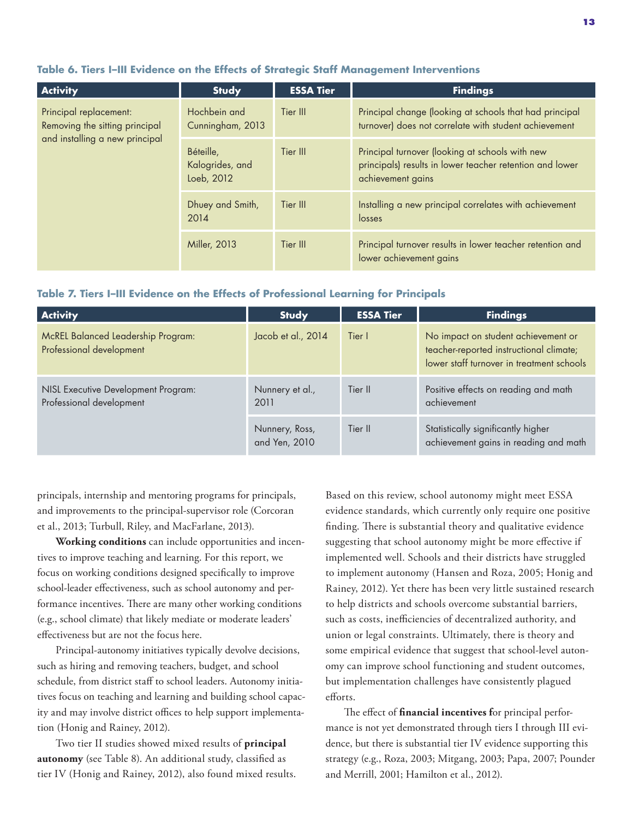#### **Table 6. Tiers I–III Evidence on the Effects of Strategic Staff Management Interventions**

| <b>Activity</b>                                                                            | <b>Study</b>                               | <b>ESSA Tier</b> | <b>Findings</b>                                                                                                                  |
|--------------------------------------------------------------------------------------------|--------------------------------------------|------------------|----------------------------------------------------------------------------------------------------------------------------------|
| Principal replacement:<br>Removing the sitting principal<br>and installing a new principal | Hochbein and<br>Cunningham, 2013           | Tier III         | Principal change (looking at schools that had principal<br>turnover) does not correlate with student achievement                 |
|                                                                                            | Béteille,<br>Kalogrides, and<br>Loeb, 2012 | Tier III         | Principal turnover (looking at schools with new<br>principals) results in lower teacher retention and lower<br>achievement gains |
|                                                                                            | Dhuey and Smith,<br>2014                   | Tier III         | Installing a new principal correlates with achievement<br>losses                                                                 |
|                                                                                            | <b>Miller, 2013</b>                        | Tier III         | Principal turnover results in lower teacher retention and<br>lower achievement gains                                             |

#### **Table 7. Tiers I–III Evidence on the Effects of Professional Learning for Principals**

| <b>Activity</b>                                                       | <b>Study</b>                    | <b>ESSA Tier</b> | <b>Findings</b>                                                                                                             |
|-----------------------------------------------------------------------|---------------------------------|------------------|-----------------------------------------------------------------------------------------------------------------------------|
| <b>McREL Balanced Leadership Program:</b><br>Professional development | Jacob et al., 2014              | Tier I           | No impact on student achievement or<br>teacher-reported instructional climate;<br>lower staff turnover in treatment schools |
| NISL Executive Development Program:<br>Professional development       | Nunnery et al.,<br>2011         | Tier II          | Positive effects on reading and math<br>achievement                                                                         |
|                                                                       | Nunnery, Ross,<br>and Yen, 2010 | Tier II          | Statistically significantly higher<br>achievement gains in reading and math                                                 |

principals, internship and mentoring programs for principals, and improvements to the principal-supervisor role (Corcoran et al., 2013; Turbull, Riley, and MacFarlane, 2013).

**Working conditions** can include opportunities and incentives to improve teaching and learning. For this report, we focus on working conditions designed specifically to improve school-leader effectiveness, such as school autonomy and performance incentives. There are many other working conditions (e.g., school climate) that likely mediate or moderate leaders' effectiveness but are not the focus here.

Principal-autonomy initiatives typically devolve decisions, such as hiring and removing teachers, budget, and school schedule, from district staff to school leaders. Autonomy initiatives focus on teaching and learning and building school capacity and may involve district offices to help support implementation (Honig and Rainey, 2012).

Two tier II studies showed mixed results of **principal autonomy** (see Table 8). An additional study, classified as tier IV (Honig and Rainey, 2012), also found mixed results. Based on this review, school autonomy might meet ESSA evidence standards, which currently only require one positive finding. There is substantial theory and qualitative evidence suggesting that school autonomy might be more effective if implemented well. Schools and their districts have struggled to implement autonomy (Hansen and Roza, 2005; Honig and Rainey, 2012). Yet there has been very little sustained research to help districts and schools overcome substantial barriers, such as costs, inefficiencies of decentralized authority, and union or legal constraints. Ultimately, there is theory and some empirical evidence that suggest that school-level autonomy can improve school functioning and student outcomes, but implementation challenges have consistently plagued efforts.

The effect of **financial incentives f**or principal performance is not yet demonstrated through tiers I through III evidence, but there is substantial tier IV evidence supporting this strategy (e.g., Roza, 2003; Mitgang, 2003; Papa, 2007; Pounder and Merrill, 2001; Hamilton et al., 2012).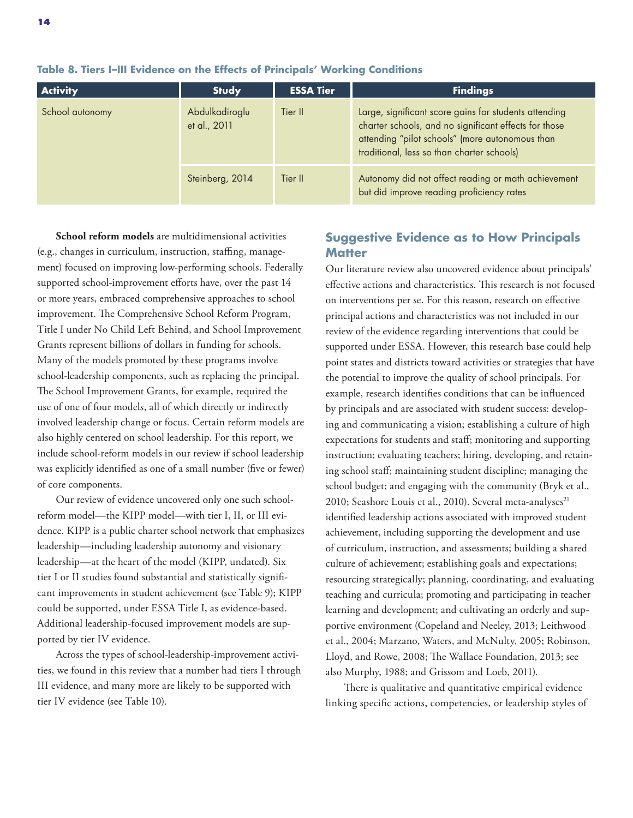| <b>Activity</b> | <b>Study</b>                   | <b>ESSA Tier</b> | <b>Findings</b>                                                                                                                                                                                                 |
|-----------------|--------------------------------|------------------|-----------------------------------------------------------------------------------------------------------------------------------------------------------------------------------------------------------------|
| School autonomy | Abdulkadiroglu<br>et al., 2011 | Tier II          | Large, significant score gains for students attending<br>charter schools, and no significant effects for those<br>attending "pilot schools" (more autonomous than<br>traditional, less so than charter schools) |
|                 | Steinberg, 2014                | Tier II          | Autonomy did not affect reading or math achievement<br>but did improve reading proficiency rates                                                                                                                |

**Table 8. Tiers I–III Evidence on the Effects of Principals' Working Conditions**

**School reform models** are multidimensional activities (e.g., changes in curriculum, instruction, staffing, management) focused on improving low-performing schools. Federally supported school-improvement efforts have, over the past 14 or more years, embraced comprehensive approaches to school improvement. The Comprehensive School Reform Program, Title I under No Child Left Behind, and School Improvement Grants represent billions of dollars in funding for schools. Many of the models promoted by these programs involve school-leadership components, such as replacing the principal. The School Improvement Grants, for example, required the use of one of four models, all of which directly or indirectly involved leadership change or focus. Certain reform models are also highly centered on school leadership. For this report, we include school-reform models in our review if school leadership was explicitly identified as one of a small number (five or fewer) of core components.

Our review of evidence uncovered only one such schoolreform model—the KIPP model—with tier I, II, or III evidence. KIPP is a public charter school network that emphasizes leadership—including leadership autonomy and visionary leadership—at the heart of the model (KIPP, undated). Six tier I or II studies found substantial and statistically significant improvements in student achievement (see Table 9); KIPP could be supported, under ESSA Title I, as evidence-based. Additional leadership-focused improvement models are supported by tier IV evidence.

Across the types of school-leadership-improvement activities, we found in this review that a number had tiers I through III evidence, and many more are likely to be supported with tier IV evidence (see Table 10).

### **Suggestive Evidence as to How Principals Matter**

Our literature review also uncovered evidence about principals' effective actions and characteristics. This research is not focused on interventions per se. For this reason, research on effective principal actions and characteristics was not included in our review of the evidence regarding interventions that could be supported under ESSA. However, this research base could help point states and districts toward activities or strategies that have the potential to improve the quality of school principals. For example, research identifies conditions that can be influenced by principals and are associated with student success: developing and communicating a vision; establishing a culture of high expectations for students and staff; monitoring and supporting instruction; evaluating teachers; hiring, developing, and retaining school staff; maintaining student discipline; managing the school budget; and engaging with the community (Bryk et al., 2010; Seashore Louis et al., 2010). Several meta-analyses<sup>21</sup> identified leadership actions associated with improved student achievement, including supporting the development and use of curriculum, instruction, and assessments; building a shared culture of achievement; establishing goals and expectations; resourcing strategically; planning, coordinating, and evaluating teaching and curricula; promoting and participating in teacher learning and development; and cultivating an orderly and supportive environment (Copeland and Neeley, 2013; Leithwood et al., 2004; Marzano, Waters, and McNulty, 2005; Robinson, Lloyd, and Rowe, 2008; The Wallace Foundation, 2013; see also Murphy, 1988; and Grissom and Loeb, 2011).

There is qualitative and quantitative empirical evidence linking specific actions, competencies, or leadership styles of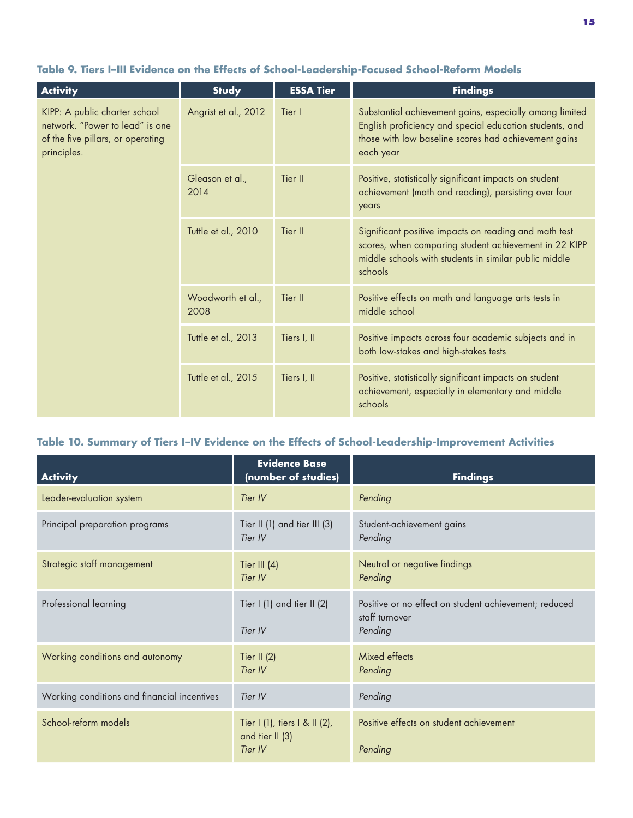| <b>Activity</b>                                                                                                      | <b>Study</b>              | <b>ESSA Tier</b> | <b>Findings</b>                                                                                                                                                                         |
|----------------------------------------------------------------------------------------------------------------------|---------------------------|------------------|-----------------------------------------------------------------------------------------------------------------------------------------------------------------------------------------|
| KIPP: A public charter school<br>network. "Power to lead" is one<br>of the five pillars, or operating<br>principles. | Angrist et al., 2012      | Tier I           | Substantial achievement gains, especially among limited<br>English proficiency and special education students, and<br>those with low baseline scores had achievement gains<br>each year |
|                                                                                                                      | Gleason et al.,<br>2014   | Tier II          | Positive, statistically significant impacts on student<br>achievement (math and reading), persisting over four<br>years                                                                 |
|                                                                                                                      | Tuttle et al., 2010       | Tier II          | Significant positive impacts on reading and math test<br>scores, when comparing student achievement in 22 KIPP<br>middle schools with students in similar public middle<br>schools      |
|                                                                                                                      | Woodworth et al.,<br>2008 | Tier II          | Positive effects on math and language arts tests in<br>middle school                                                                                                                    |
|                                                                                                                      | Tuttle et al., 2013       | Tiers I, II      | Positive impacts across four academic subjects and in<br>both low-stakes and high-stakes tests                                                                                          |
|                                                                                                                      | Tuttle et al., 2015       | Tiers I, II      | Positive, statistically significant impacts on student<br>achievement, especially in elementary and middle<br>schools                                                                   |

## **Table 9. Tiers I–III Evidence on the Effects of School-Leadership-Focused School-Reform Models**

### **Table 10. Summary of Tiers I–IV Evidence on the Effects of School-Leadership-Improvement Activities**

| <b>Activity</b>                             | <b>Evidence Base</b><br>(number of studies)                 | <b>Findings</b>                                                                    |
|---------------------------------------------|-------------------------------------------------------------|------------------------------------------------------------------------------------|
| Leader-evaluation system                    | Tier IV                                                     | Pending                                                                            |
| Principal preparation programs              | Tier II (1) and tier III (3)<br>Tier IV                     | Student-achievement gains<br>Pending                                               |
| Strategic staff management                  | Tier III $(4)$<br>Tier IV                                   | Neutral or negative findings<br>Pending                                            |
| Professional learning                       | Tier I (1) and tier II (2)<br>Tier IV                       | Positive or no effect on student achievement; reduced<br>staff turnover<br>Pending |
| Working conditions and autonomy             | Tier II $(2)$<br>Tier IV                                    | Mixed effects<br>Pending                                                           |
| Working conditions and financial incentives | Tier IV                                                     | Pending                                                                            |
| School-reform models                        | Tier I (1), tiers I & II (2),<br>and tier II (3)<br>Tier IV | Positive effects on student achievement<br>Pending                                 |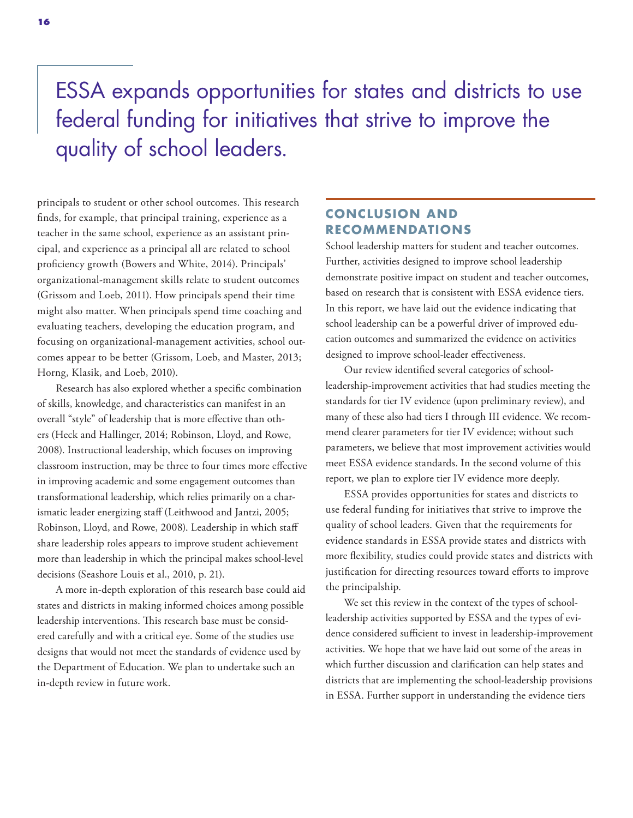## ESSA expands opportunities for states and districts to use federal funding for initiatives that strive to improve the quality of school leaders.

principals to student or other school outcomes. This research finds, for example, that principal training, experience as a teacher in the same school, experience as an assistant principal, and experience as a principal all are related to school proficiency growth (Bowers and White, 2014). Principals' organizational-management skills relate to student outcomes (Grissom and Loeb, 2011). How principals spend their time might also matter. When principals spend time coaching and evaluating teachers, developing the education program, and focusing on organizational-management activities, school outcomes appear to be better (Grissom, Loeb, and Master, 2013; Horng, Klasik, and Loeb, 2010).

Research has also explored whether a specific combination of skills, knowledge, and characteristics can manifest in an overall "style" of leadership that is more effective than others (Heck and Hallinger, 2014; Robinson, Lloyd, and Rowe, 2008). Instructional leadership, which focuses on improving classroom instruction, may be three to four times more effective in improving academic and some engagement outcomes than transformational leadership, which relies primarily on a charismatic leader energizing staff (Leithwood and Jantzi, 2005; Robinson, Lloyd, and Rowe, 2008). Leadership in which staff share leadership roles appears to improve student achievement more than leadership in which the principal makes school-level decisions (Seashore Louis et al., 2010, p. 21).

A more in-depth exploration of this research base could aid states and districts in making informed choices among possible leadership interventions. This research base must be considered carefully and with a critical eye. Some of the studies use designs that would not meet the standards of evidence used by the Department of Education. We plan to undertake such an in-depth review in future work.

## **CONCLUS ION AND RECOMMENDATIONS**

School leadership matters for student and teacher outcomes. Further, activities designed to improve school leadership demonstrate positive impact on student and teacher outcomes, based on research that is consistent with ESSA evidence tiers. In this report, we have laid out the evidence indicating that school leadership can be a powerful driver of improved education outcomes and summarized the evidence on activities designed to improve school-leader effectiveness.

Our review identified several categories of schoolleadership-improvement activities that had studies meeting the standards for tier IV evidence (upon preliminary review), and many of these also had tiers I through III evidence. We recommend clearer parameters for tier IV evidence; without such parameters, we believe that most improvement activities would meet ESSA evidence standards. In the second volume of this report, we plan to explore tier IV evidence more deeply.

ESSA provides opportunities for states and districts to use federal funding for initiatives that strive to improve the quality of school leaders. Given that the requirements for evidence standards in ESSA provide states and districts with more flexibility, studies could provide states and districts with justification for directing resources toward efforts to improve the principalship.

We set this review in the context of the types of schoolleadership activities supported by ESSA and the types of evidence considered sufficient to invest in leadership-improvement activities. We hope that we have laid out some of the areas in which further discussion and clarification can help states and districts that are implementing the school-leadership provisions in ESSA. Further support in understanding the evidence tiers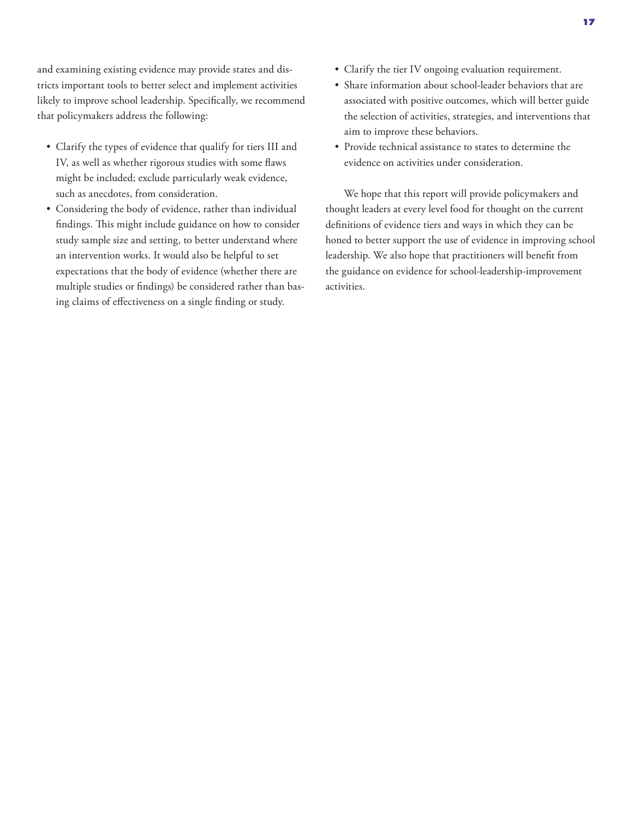and examining existing evidence may provide states and districts important tools to better select and implement activities likely to improve school leadership. Specifically, we recommend that policymakers address the following:

- Clarify the types of evidence that qualify for tiers III and IV, as well as whether rigorous studies with some flaws might be included; exclude particularly weak evidence, such as anecdotes, from consideration.
- Considering the body of evidence, rather than individual findings. This might include guidance on how to consider study sample size and setting, to better understand where an intervention works. It would also be helpful to set expectations that the body of evidence (whether there are multiple studies or findings) be considered rather than basing claims of effectiveness on a single finding or study.
- Clarify the tier IV ongoing evaluation requirement.
- Share information about school-leader behaviors that are associated with positive outcomes, which will better guide the selection of activities, strategies, and interventions that aim to improve these behaviors.
- Provide technical assistance to states to determine the evidence on activities under consideration.

We hope that this report will provide policymakers and thought leaders at every level food for thought on the current definitions of evidence tiers and ways in which they can be honed to better support the use of evidence in improving school leadership. We also hope that practitioners will benefit from the guidance on evidence for school-leadership-improvement activities.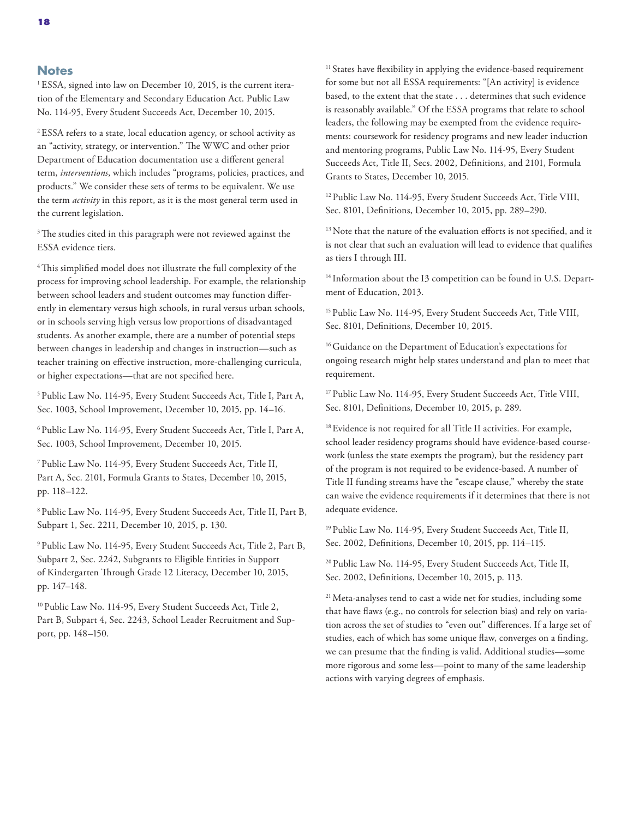#### **Notes**

<sup>1</sup>ESSA, signed into law on December 10, 2015, is the current iteration of the Elementary and Secondary Education Act. Public Law No. 114-95, Every Student Succeeds Act, December 10, 2015.

2 ESSA refers to a state, local education agency, or school activity as an "activity, strategy, or intervention." The WWC and other prior Department of Education documentation use a different general term, *interventions*, which includes "programs, policies, practices, and products." We consider these sets of terms to be equivalent. We use the term *activity* in this report, as it is the most general term used in the current legislation.

<sup>3</sup>The studies cited in this paragraph were not reviewed against the ESSA evidence tiers.

<sup>4</sup>This simplified model does not illustrate the full complexity of the process for improving school leadership. For example, the relationship between school leaders and student outcomes may function differently in elementary versus high schools, in rural versus urban schools, or in schools serving high versus low proportions of disadvantaged students. As another example, there are a number of potential steps between changes in leadership and changes in instruction—such as teacher training on effective instruction, more-challenging curricula, or higher expectations—that are not specified here.

5 Public Law No. 114-95, Every Student Succeeds Act, Title I, Part A, Sec. 1003, School Improvement, December 10, 2015, pp. 14–16.

6 Public Law No. 114-95, Every Student Succeeds Act, Title I, Part A, Sec. 1003, School Improvement, December 10, 2015.

7 Public Law No. 114-95, Every Student Succeeds Act, Title II, Part A, Sec. 2101, Formula Grants to States, December 10, 2015, pp. 118–122.

8 Public Law No. 114-95, Every Student Succeeds Act, Title II, Part B, Subpart 1, Sec. 2211, December 10, 2015, p. 130.

9 Public Law No. 114-95, Every Student Succeeds Act, Title 2, Part B, Subpart 2, Sec. 2242, Subgrants to Eligible Entities in Support of Kindergarten Through Grade 12 Literacy, December 10, 2015, pp. 147–148.

<sup>10</sup> Public Law No. 114-95, Every Student Succeeds Act, Title 2, Part B, Subpart 4, Sec. 2243, School Leader Recruitment and Support, pp. 148–150.

<sup>11</sup> States have flexibility in applying the evidence-based requirement for some but not all ESSA requirements: "[An activity] is evidence based, to the extent that the state . . . determines that such evidence is reasonably available." Of the ESSA programs that relate to school leaders, the following may be exempted from the evidence requirements: coursework for residency programs and new leader induction and mentoring programs, Public Law No. 114-95, Every Student Succeeds Act, Title II, Secs. 2002, Definitions, and 2101, Formula Grants to States, December 10, 2015.

<sup>12</sup> Public Law No. 114-95, Every Student Succeeds Act, Title VIII, Sec. 8101, Definitions, December 10, 2015, pp. 289–290.

<sup>13</sup> Note that the nature of the evaluation efforts is not specified, and it is not clear that such an evaluation will lead to evidence that qualifies as tiers I through III.

<sup>14</sup> Information about the I3 competition can be found in U.S. Department of Education, 2013.

<sup>15</sup> Public Law No. 114-95, Every Student Succeeds Act, Title VIII, Sec. 8101, Definitions, December 10, 2015.

<sup>16</sup> Guidance on the Department of Education's expectations for ongoing research might help states understand and plan to meet that requirement.

<sup>17</sup> Public Law No. 114-95, Every Student Succeeds Act, Title VIII, Sec. 8101, Definitions, December 10, 2015, p. 289.

<sup>18</sup> Evidence is not required for all Title II activities. For example, school leader residency programs should have evidence-based coursework (unless the state exempts the program), but the residency part of the program is not required to be evidence-based. A number of Title II funding streams have the "escape clause," whereby the state can waive the evidence requirements if it determines that there is not adequate evidence.

<sup>19</sup> Public Law No. 114-95, Every Student Succeeds Act, Title II, Sec. 2002, Definitions, December 10, 2015, pp. 114–115.

<sup>20</sup> Public Law No. 114-95, Every Student Succeeds Act, Title II, Sec. 2002, Definitions, December 10, 2015, p. 113.

<sup>21</sup> Meta-analyses tend to cast a wide net for studies, including some that have flaws (e.g., no controls for selection bias) and rely on variation across the set of studies to "even out" differences. If a large set of studies, each of which has some unique flaw, converges on a finding, we can presume that the finding is valid. Additional studies—some more rigorous and some less—point to many of the same leadership actions with varying degrees of emphasis.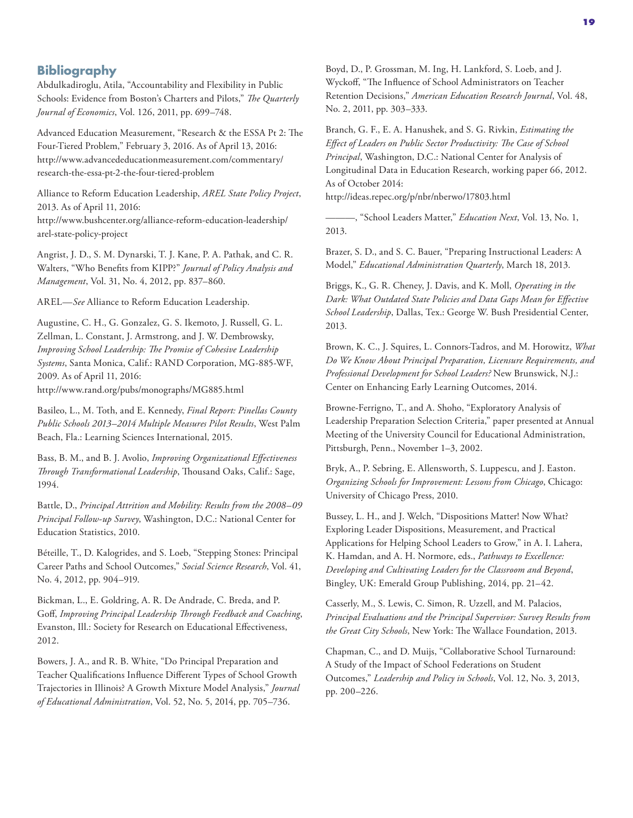#### **Bibliography**

Abdulkadiroglu, Atila, "Accountability and Flexibility in Public Schools: Evidence from Boston's Charters and Pilots," *The Quarterly Journal of Economics*, Vol. 126, 2011, pp. 699–748.

Advanced Education Measurement, "Research & the ESSA Pt 2: The Four-Tiered Problem," February 3, 2016. As of April 13, 2016: [http://www.advancededucationmeasurement.com/commentary/](http://www.advancededucationmeasurement.com/commentary/research-the-essa-pt-2-the-four-tiered-problem) research-the-essa-pt-2-the-four-tiered-problem

Alliance to Reform Education Leadership, *AREL State Policy Project*, 2013. As of April 11, 2016: [http://www.bushcenter.org/alliance-reform-education-leadership/](http://www.bushcenter.org/alliance-reform-education-leadership/arel-state-policy-project) arel-state-policy-project

Angrist, J. D., S. M. Dynarski, T. J. Kane, P. A. Pathak, and C. R. Walters, "Who Benefits from KIPP?" *Journal of Policy Analysis and Management*, Vol. 31, No. 4, 2012, pp. 837–860.

AREL—*See* Alliance to Reform Education Leadership.

Augustine, C. H., G. Gonzalez, G. S. Ikemoto, J. Russell, G. L. Zellman, L. Constant, J. Armstrong, and J. W. Dembrowsky, *Improving School Leadership: The Promise of Cohesive Leadership Systems*, Santa Monica, Calif.: RAND Corporation, MG-885-WF, 2009. As of April 11, 2016: <http://www.rand.org/pubs/monographs/MG885.html>

Basileo, L., M. Toth, and E. Kennedy, *Final Report: Pinellas County Public Schools 2013–2014 Multiple Measures Pilot Results*, West Palm Beach, Fla.: Learning Sciences International, 2015.

Bass, B. M., and B. J. Avolio, *Improving Organizational Effectiveness Through Transformational Leadership*, Thousand Oaks, Calif.: Sage, 1994.

Battle, D., *Principal Attrition and Mobility: Results from the 2008–09 Principal Follow-up Survey*, Washington, D.C.: National Center for Education Statistics, 2010.

Béteille, T., D. Kalogrides, and S. Loeb, "Stepping Stones: Principal Career Paths and School Outcomes," *Social Science Research*, Vol. 41, No. 4, 2012, pp. 904–919.

Bickman, L., E. Goldring, A. R. De Andrade, C. Breda, and P. Goff, *Improving Principal Leadership Through Feedback and Coaching*, Evanston, Ill.: Society for Research on Educational Effectiveness, 2012.

Bowers, J. A., and R. B. White, "Do Principal Preparation and Teacher Qualifications Influence Different Types of School Growth Trajectories in Illinois? A Growth Mixture Model Analysis," *Journal of Educational Administration*, Vol. 52, No. 5, 2014, pp. 705–736.

Boyd, D., P. Grossman, M. Ing, H. Lankford, S. Loeb, and J. Wyckoff, "The Influence of School Administrators on Teacher Retention Decisions," *American Education Research Journal*, Vol. 48, No. 2, 2011, pp. 303–333.

Branch, G. F., E. A. Hanushek, and S. G. Rivkin, *Estimating the Effect of Leaders on Public Sector Productivity: The Case of School Principal*, Washington, D.C.: National Center for Analysis of Longitudinal Data in Education Research, working paper 66, 2012. As of October 2014: <http://ideas.repec.org/p/nbr/nberwo/17803.html>

———, "School Leaders Matter," *Education Next*, Vol. 13, No. 1, 2013.

Brazer, S. D., and S. C. Bauer, "Preparing Instructional Leaders: A Model," *Educational Administration Quarterly*, March 18, 2013.

Briggs, K., G. R. Cheney, J. Davis, and K. Moll, *Operating in the Dark: What Outdated State Policies and Data Gaps Mean for Effective School Leadership*, Dallas, Tex.: George W. Bush Presidential Center, 2013.

Brown, K. C., J. Squires, L. Connors-Tadros, and M. Horowitz, *What Do We Know About Principal Preparation, Licensure Requirements, and Professional Development for School Leaders?* New Brunswick, N.J.: Center on Enhancing Early Learning Outcomes, 2014.

Browne-Ferrigno, T., and A. Shoho, "Exploratory Analysis of Leadership Preparation Selection Criteria," paper presented at Annual Meeting of the University Council for Educational Administration, Pittsburgh, Penn., November 1–3, 2002.

Bryk, A., P. Sebring, E. Allensworth, S. Luppescu, and J. Easton. *Organizing Schools for Improvement: Lessons from Chicago*, Chicago: University of Chicago Press, 2010.

Bussey, L. H., and J. Welch, "Dispositions Matter! Now What? Exploring Leader Dispositions, Measurement, and Practical Applications for Helping School Leaders to Grow," in A. I. Lahera, K. Hamdan, and A. H. Normore, eds., *Pathways to Excellence: Developing and Cultivating Leaders for the Classroom and Beyond*, Bingley, UK: Emerald Group Publishing, 2014, pp. 21–42.

Casserly, M., S. Lewis, C. Simon, R. Uzzell, and M. Palacios, *Principal Evaluations and the Principal Supervisor: Survey Results from the Great City Schools*, New York: The Wallace Foundation, 2013.

Chapman, C., and D. Muijs, "Collaborative School Turnaround: A Study of the Impact of School Federations on Student Outcomes," *Leadership and Policy in Schools*, Vol. 12, No. 3, 2013, pp. 200–226.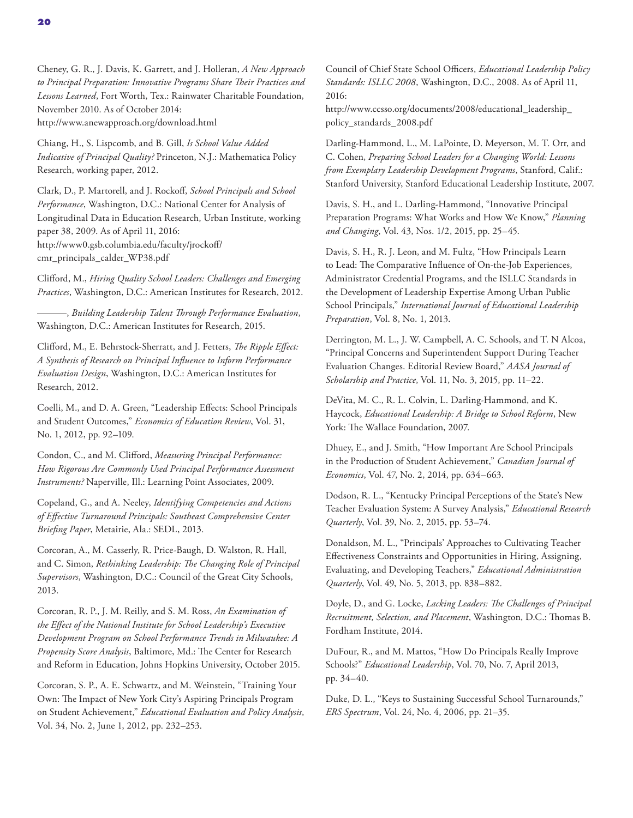Cheney, G. R., J. Davis, K. Garrett, and J. Holleran, *A New Approach to Principal Preparation: Innovative Programs Share Their Practices and Lessons Learned*, Fort Worth, Tex.: Rainwater Charitable Foundation, November 2010. As of October 2014: <http://www.anewapproach.org/download.html>

Chiang, H., S. Lispcomb, and B. Gill, *Is School Value Added Indicative of Principal Quality?* Princeton, N.J.: Mathematica Policy Research, working paper, 2012.

Clark, D., P. Martorell, and J. Rockoff, *School Principals and School Performance*, Washington, D.C.: National Center for Analysis of Longitudinal Data in Education Research, Urban Institute, working paper 38, 2009. As of April 11, 2016: [http://www0.gsb.columbia.edu/faculty/jrockoff/](http://www0.gsb.columbia.edu/faculty/jrockoff/cmr_principals_calder_WP38.pdf) cmr\_principals\_calder\_WP38.pdf

Clifford, M., *Hiring Quality School Leaders: Challenges and Emerging Practices*, Washington, D.C.: American Institutes for Research, 2012.

———, *Building Leadership Talent Through Performance Evaluation*, Washington, D.C.: American Institutes for Research, 2015.

Clifford, M., E. Behrstock-Sherratt, and J. Fetters, *The Ripple Effect: A Synthesis of Research on Principal Influence to Inform Performance Evaluation Design*, Washington, D.C.: American Institutes for Research, 2012.

Coelli, M., and D. A. Green, "Leadership Effects: School Principals and Student Outcomes," *Economics of Education Review*, Vol. 31, No. 1, 2012, pp. 92–109.

Condon, C., and M. Clifford, *Measuring Principal Performance: How Rigorous Are Commonly Used Principal Performance Assessment Instruments?* Naperville, Ill.: Learning Point Associates, 2009.

Copeland, G., and A. Neeley, *Identifying Competencies and Actions of Effective Turnaround Principals: Southeast Comprehensive Center Briefing Paper*, Metairie, Ala.: SEDL, 2013.

Corcoran, A., M. Casserly, R. Price-Baugh, D. Walston, R. Hall, and C. Simon, *Rethinking Leadership: The Changing Role of Principal Supervisors*, Washington, D.C.: Council of the Great City Schools, 2013.

Corcoran, R. P., J. M. Reilly, and S. M. Ross, *An Examination of the Effect of the National Institute for School Leadership's Executive Development Program on School Performance Trends in Milwaukee: A Propensity Score Analysis*, Baltimore, Md.: The Center for Research and Reform in Education, Johns Hopkins University, October 2015.

Corcoran, S. P., A. E. Schwartz, and M. Weinstein, "Training Your Own: The Impact of New York City's Aspiring Principals Program on Student Achievement," *Educational Evaluation and Policy Analysis*, Vol. 34, No. 2, June 1, 2012, pp. 232–253.

Council of Chief State School Officers, *Educational Leadership Policy Standards: ISLLC 2008*, Washington, D.C., 2008. As of April 11, 2016: [http://www.ccsso.org/documents/2008/educational\\_leadership\\_](http://www.ccsso.org/documents/2008/educational_leadership_policy_standards_2008.pdf)

policy\_standards\_2008.pdf

Darling-Hammond, L., M. LaPointe, D. Meyerson, M. T. Orr, and C. Cohen, *Preparing School Leaders for a Changing World: Lessons from Exemplary Leadership Development Programs*, Stanford, Calif.: Stanford University, Stanford Educational Leadership Institute, 2007.

Davis, S. H., and L. Darling-Hammond, "Innovative Principal Preparation Programs: What Works and How We Know," *Planning and Changing*, Vol. 43, Nos. 1/2, 2015, pp. 25–45.

Davis, S. H., R. J. Leon, and M. Fultz, "How Principals Learn to Lead: The Comparative Influence of On-the-Job Experiences, Administrator Credential Programs, and the ISLLC Standards in the Development of Leadership Expertise Among Urban Public School Principals," *International Journal of Educational Leadership Preparation*, Vol. 8, No. 1, 2013.

Derrington, M. L., J. W. Campbell, A. C. Schools, and T. N Alcoa, "Principal Concerns and Superintendent Support During Teacher Evaluation Changes. Editorial Review Board," *AASA Journal of Scholarship and Practice*, Vol. 11, No. 3, 2015, pp. 11–22.

DeVita, M. C., R. L. Colvin, L. Darling-Hammond, and K. Haycock, *Educational Leadership: A Bridge to School Reform*, New York: The Wallace Foundation, 2007.

Dhuey, E., and J. Smith, "How Important Are School Principals in the Production of Student Achievement," *Canadian Journal of Economics*, Vol. 47, No. 2, 2014, pp. 634–663.

Dodson, R. L., "Kentucky Principal Perceptions of the State's New Teacher Evaluation System: A Survey Analysis," *Educational Research Quarterly*, Vol. 39, No. 2, 2015, pp. 53–74.

Donaldson, M. L., "Principals' Approaches to Cultivating Teacher Effectiveness Constraints and Opportunities in Hiring, Assigning, Evaluating, and Developing Teachers," *Educational Administration Quarterly*, Vol. 49, No. 5, 2013, pp. 838–882.

Doyle, D., and G. Locke, *Lacking Leaders: The Challenges of Principal Recruitment, Selection, and Placement*, Washington, D.C.: Thomas B. Fordham Institute, 2014.

DuFour, R., and M. Mattos, "How Do Principals Really Improve Schools?" *Educational Leadership*, Vol. 70, No. 7, April 2013, pp. 34–40.

Duke, D. L., "Keys to Sustaining Successful School Turnarounds," *ERS Spectrum*, Vol. 24, No. 4, 2006, pp. 21–35.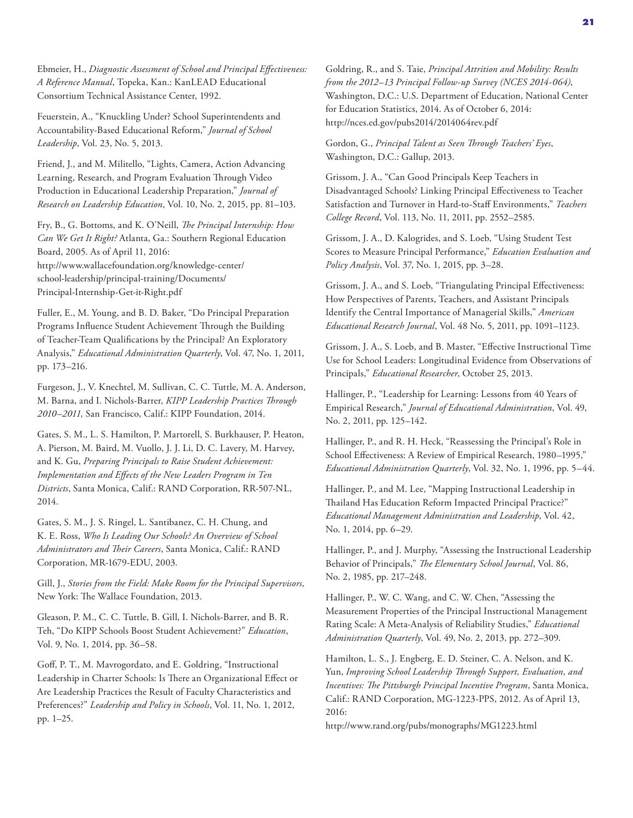Ebmeier, H., *Diagnostic Assessment of School and Principal Effectiveness: A Reference Manual*, Topeka, Kan.: KanLEAD Educational Consortium Technical Assistance Center, 1992.

Feuerstein, A., "Knuckling Under? School Superintendents and Accountability-Based Educational Reform," *Journal of School Leadership*, Vol. 23, No. 5, 2013.

Friend, J., and M. Militello, "Lights, Camera, Action Advancing Learning, Research, and Program Evaluation Through Video Production in Educational Leadership Preparation," *Journal of Research on Leadership Education*, Vol. 10, No. 2, 2015, pp. 81–103.

Fry, B., G. Bottoms, and K. O'Neill, *The Principal Internship: How Can We Get It Right?* Atlanta, Ga.: Southern Regional Education Board, 2005. As of April 11, 2016: [http://www.wallacefoundation.org/knowledge-center/](http://www.wallacefoundation.org/knowledge-center/school-leadership/principal-training/Documents/Principal-Internship-Get-it-Right.pdf) school-leadership/principal-training/Documents/ Principal-Internship-Get-it-Right.pdf

Fuller, E., M. Young, and B. D. Baker, "Do Principal Preparation Programs Influence Student Achievement Through the Building of Teacher-Team Qualifications by the Principal? An Exploratory Analysis," *Educational Administration Quarterly*, Vol. 47, No. 1, 2011, pp. 173–216.

Furgeson, J., V. Knechtel, M. Sullivan, C. C. Tuttle, M. A. Anderson, M. Barna, and I. Nichols-Barrer, *KIPP Leadership Practices Through 2010–2011,* San Francisco, Calif.: KIPP Foundation, 2014.

Gates, S. M., L. S. Hamilton, P. Martorell, S. Burkhauser, P. Heaton, A. Pierson, M. Baird, M. Vuollo, J. J. Li, D. C. Lavery, M. Harvey, and K. Gu, *Preparing Principals to Raise Student Achievement: Implementation and Effects of the New Leaders Program in Ten Districts*, Santa Monica, Calif.: RAND Corporation, RR-507-NL, 2014.

Gates, S. M., J. S. Ringel, L. Santibanez, C. H. Chung, and K. E. Ross, *Who Is Leading Our Schools? An Overview of School Administrators and Their Careers*, Santa Monica, Calif.: RAND Corporation, MR-1679-EDU, 2003.

Gill, J., *Stories from the Field: Make Room for the Principal Supervisors*, New York: The Wallace Foundation, 2013.

Gleason, P. M., C. C. Tuttle, B. Gill, I. Nichols-Barrer, and B. R. Teh, "Do KIPP Schools Boost Student Achievement?" *Education*, Vol. 9, No. 1, 2014, pp. 36–58.

Goff, P. T., M. Mavrogordato, and E. Goldring, "Instructional Leadership in Charter Schools: Is There an Organizational Effect or Are Leadership Practices the Result of Faculty Characteristics and Preferences?" *Leadership and Policy in Schools*, Vol. 11, No. 1, 2012, pp. 1–25.

Goldring, R., and S. Taie, *Principal Attrition and Mobility: Results from the 2012–13 Principal Follow-up Survey (NCES 2014-064)*, Washington, D.C.: U.S. Department of Education, National Center for Education Statistics, 2014. As of October 6, 2014: <http://nces.ed.gov/pubs2014/2014064rev.pdf>

Gordon, G., *Principal Talent as Seen Through Teachers' Eyes*, Washington, D.C.: Gallup, 2013.

Grissom, J. A., "Can Good Principals Keep Teachers in Disadvantaged Schools? Linking Principal Effectiveness to Teacher Satisfaction and Turnover in Hard-to-Staff Environments," *Teachers College Record*, Vol. 113, No. 11, 2011, pp. 2552–2585.

Grissom, J. A., D. Kalogrides, and S. Loeb, "Using Student Test Scores to Measure Principal Performance," *Education Evaluation and Policy Analysis*, Vol. 37, No. 1, 2015, pp. 3–28.

Grissom, J. A., and S. Loeb, "Triangulating Principal Effectiveness: How Perspectives of Parents, Teachers, and Assistant Principals Identify the Central Importance of Managerial Skills," *American Educational Research Journal*, Vol. 48 No. 5, 2011, pp. 1091–1123.

Grissom, J. A., S. Loeb, and B. Master, "Effective Instructional Time Use for School Leaders: Longitudinal Evidence from Observations of Principals," *Educational Researcher*, October 25, 2013.

Hallinger, P., "Leadership for Learning: Lessons from 40 Years of Empirical Research," *Journal of Educational Administration*, Vol. 49, No. 2, 2011, pp. 125–142.

Hallinger, P., and R. H. Heck, "Reassessing the Principal's Role in School Effectiveness: A Review of Empirical Research, 1980–1995," *Educational Administration Quarterly*, Vol. 32, No. 1, 1996, pp. 5–44.

Hallinger, P., and M. Lee, "Mapping Instructional Leadership in Thailand Has Education Reform Impacted Principal Practice?" *Educational Management Administration and Leadership*, Vol. 42, No. 1, 2014, pp. 6–29.

Hallinger, P., and J. Murphy, "Assessing the Instructional Leadership Behavior of Principals," *The Elementary School Journal*, Vol. 86, No. 2, 1985, pp. 217–248.

Hallinger, P., W. C. Wang, and C. W. Chen, "Assessing the Measurement Properties of the Principal Instructional Management Rating Scale: A Meta-Analysis of Reliability Studies," *Educational Administration Quarterly*, Vol. 49, No. 2, 2013, pp. 272–309.

Hamilton, L. S., J. Engberg, E. D. Steiner, C. A. Nelson, and K. Yun, *Improving School Leadership Through Support, Evaluation, and Incentives: The Pittsburgh Principal Incentive Program*, Santa Monica, Calif.: RAND Corporation, MG-1223-PPS, 2012. As of April 13, 2016:

<http://www.rand.org/pubs/monographs/MG1223.html>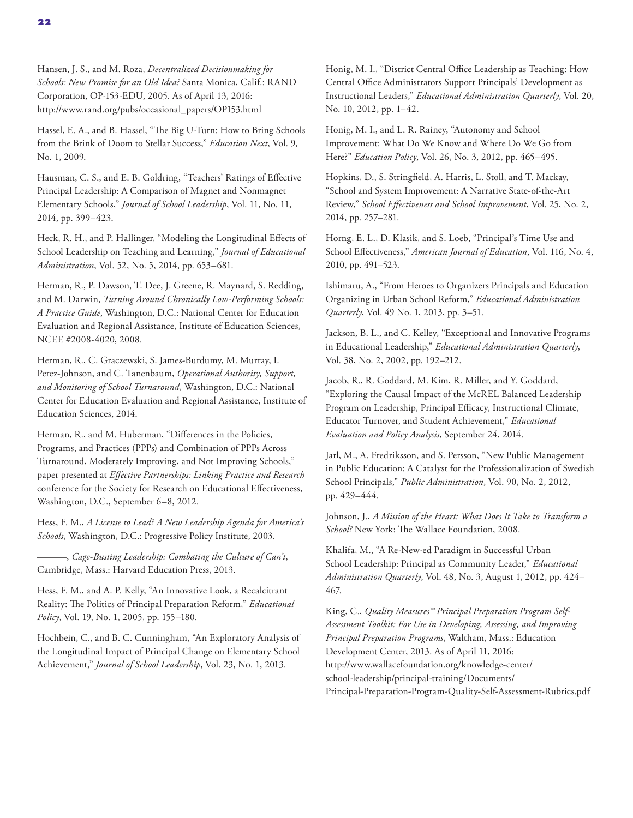Hansen, J. S., and M. Roza, *Decentralized Decisionmaking for Schools: New Promise for an Old Idea?* Santa Monica, Calif.: RAND Corporation, OP-153-EDU, 2005. As of April 13, 2016: [http://www.rand.org/pubs/occasional\\_papers/OP153.html](http://www.rand.org/pubs/occasional_papers/OP153.html)

Hassel, E. A., and B. Hassel, "The Big U-Turn: How to Bring Schools from the Brink of Doom to Stellar Success," *Education Next*, Vol. 9, No. 1, 2009.

Hausman, C. S., and E. B. Goldring, "Teachers' Ratings of Effective Principal Leadership: A Comparison of Magnet and Nonmagnet Elementary Schools," *Journal of School Leadership*, Vol. 11, No. 11, 2014, pp. 399–423.

Heck, R. H., and P. Hallinger, "Modeling the Longitudinal Effects of School Leadership on Teaching and Learning," *Journal of Educational Administration*, Vol. 52, No. 5, 2014, pp. 653–681.

Herman, R., P. Dawson, T. Dee, J. Greene, R. Maynard, S. Redding, and M. Darwin, *Turning Around Chronically Low-Performing Schools: A Practice Guide*, Washington, D.C.: National Center for Education Evaluation and Regional Assistance, Institute of Education Sciences, NCEE #2008-4020, 2008.

Herman, R., C. Graczewski, S. James-Burdumy, M. Murray, I. Perez-Johnson, and C. Tanenbaum, *Operational Authority, Support, and Monitoring of School Turnaround*, Washington, D.C.: National Center for Education Evaluation and Regional Assistance, Institute of Education Sciences, 2014.

Herman, R., and M. Huberman, "Differences in the Policies, Programs, and Practices (PPPs) and Combination of PPPs Across Turnaround, Moderately Improving, and Not Improving Schools," paper presented at *Effective Partnerships: Linking Practice and Research*  conference for the Society for Research on Educational Effectiveness, Washington, D.C., September 6–8, 2012.

Hess, F. M., *A License to Lead? A New Leadership Agenda for America's Schools*, Washington, D.C.: Progressive Policy Institute, 2003.

———, *Cage-Busting Leadership: Combating the Culture of Can't*, Cambridge, Mass.: Harvard Education Press, 2013.

Hess, F. M., and A. P. Kelly, "An Innovative Look, a Recalcitrant Reality: The Politics of Principal Preparation Reform," *Educational Policy*, Vol. 19, No. 1, 2005, pp. 155–180.

Hochbein, C., and B. C. Cunningham, "An Exploratory Analysis of the Longitudinal Impact of Principal Change on Elementary School Achievement," *Journal of School Leadership*, Vol. 23, No. 1, 2013.

Honig, M. I., "District Central Office Leadership as Teaching: How Central Office Administrators Support Principals' Development as Instructional Leaders," *Educational Administration Quarterly*, Vol. 20, No. 10, 2012, pp. 1–42.

Honig, M. I., and L. R. Rainey, "Autonomy and School Improvement: What Do We Know and Where Do We Go from Here?" *Education Policy*, Vol. 26, No. 3, 2012, pp. 465–495.

Hopkins, D., S. Stringfield, A. Harris, L. Stoll, and T. Mackay, "School and System Improvement: A Narrative State-of-the-Art Review," *School Effectiveness and School Improvement*, Vol. 25, No. 2, 2014, pp. 257–281.

Horng, E. L., D. Klasik, and S. Loeb, "Principal's Time Use and School Effectiveness," *American Journal of Education*, Vol. 116, No. 4, 2010, pp. 491–523.

Ishimaru, A., "From Heroes to Organizers Principals and Education Organizing in Urban School Reform," *Educational Administration Quarterly*, Vol. 49 No. 1, 2013, pp. 3–51.

Jackson, B. L., and C. Kelley, "Exceptional and Innovative Programs in Educational Leadership," *Educational Administration Quarterly*, Vol. 38, No. 2, 2002, pp. 192–212.

Jacob, R., R. Goddard, M. Kim, R. Miller, and Y. Goddard, "Exploring the Causal Impact of the McREL Balanced Leadership Program on Leadership, Principal Efficacy, Instructional Climate, Educator Turnover, and Student Achievement," *Educational Evaluation and Policy Analysis*, September 24, 2014.

Jarl, M., A. Fredriksson, and S. Persson, "New Public Management in Public Education: A Catalyst for the Professionalization of Swedish School Principals," *Public Administration*, Vol. 90, No. 2, 2012, pp. 429–444.

Johnson, J., *A Mission of the Heart: What Does It Take to Transform a School?* New York: The Wallace Foundation, 2008.

Khalifa, M., "A Re-New-ed Paradigm in Successful Urban School Leadership: Principal as Community Leader," *Educational Administration Quarterly*, Vol. 48, No. 3, August 1, 2012, pp. 424– 467.

King, C., *Quality Measures™ Principal Preparation Program Self‐ Assessment Toolkit: For Use in Developing, Assessing, and Improving Principal Preparation Programs*, Waltham, Mass.: Education Development Center, 2013. As of April 11, 2016: http://www.wallacefoundation.org/knowledge-center/ school-leadership/principal-training/Documents/ [Principal-Preparation-Program-Quality-Self-Assessment-Rubrics.pdf](http://www.wallacefoundation.org/knowledge-center/school-leadership/principal-training/Documents/Principal-Preparation-Program-Quality-Self-Assessment-Rubrics.pdf)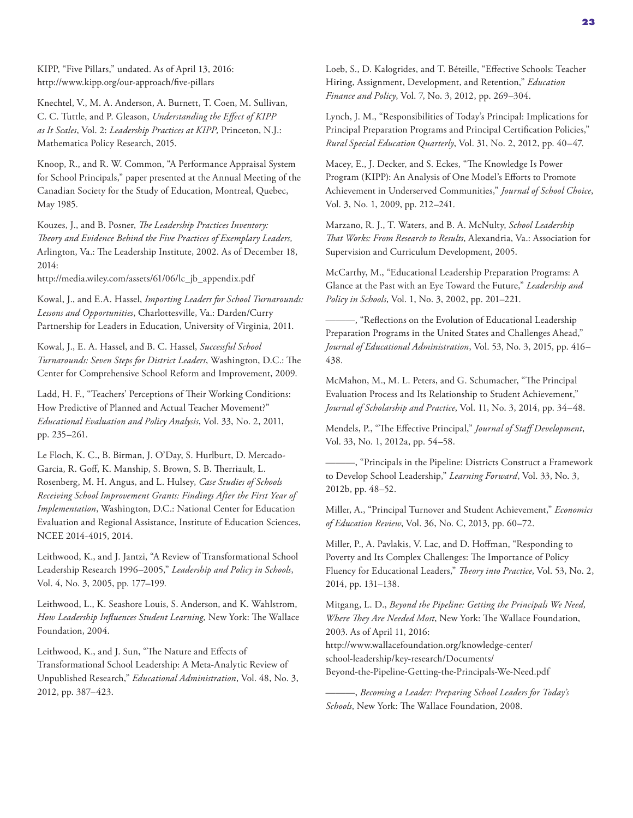KIPP, "Five Pillars," undated. As of April 13, 2016: <http://www.kipp.org/our-approach/five-pillars>

Knechtel, V., M. A. Anderson, A. Burnett, T. Coen, M. Sullivan, C. C. Tuttle, and P. Gleason, *Understanding the Effect of KIPP as It Scales*, Vol. 2: *Leadership Practices at KIPP,* Princeton, N.J.: Mathematica Policy Research, 2015.

Knoop, R., and R. W. Common, "A Performance Appraisal System for School Principals," paper presented at the Annual Meeting of the Canadian Society for the Study of Education, Montreal, Quebec, May 1985.

Kouzes, J., and B. Posner, *The Leadership Practices Inventory: Theory and Evidence Behind the Five Practices of Exemplary Leaders,* Arlington, Va.: The Leadership Institute, 2002. As of December 18, 2014:

[http://media.wiley.com/assets/61/06/lc\\_jb\\_appendix.pdf](http://media.wiley.com/assets/61/06/lc_jb_appendix.pdf)

Kowal, J., and E.A. Hassel, *Importing Leaders for School Turnarounds: Lessons and Opportunities*, Charlottesville, Va.: Darden/Curry Partnership for Leaders in Education, University of Virginia, 2011.

Kowal, J., E. A. Hassel, and B. C. Hassel, *Successful School Turnarounds: Seven Steps for District Leaders*, Washington, D.C.: The Center for Comprehensive School Reform and Improvement, 2009.

Ladd, H. F., "Teachers' Perceptions of Their Working Conditions: How Predictive of Planned and Actual Teacher Movement?" *Educational Evaluation and Policy Analysis*, Vol. 33, No. 2, 2011, pp. 235–261.

Le Floch, K. C., B. Birman, J. O'Day, S. Hurlburt, D. Mercado-Garcia, R. Goff, K. Manship, S. Brown, S. B. Therriault, L. Rosenberg, M. H. Angus, and L. Hulsey, *Case Studies of Schools Receiving School Improvement Grants: Findings After the First Year of Implementation*, Washington, D.C.: National Center for Education Evaluation and Regional Assistance, Institute of Education Sciences, NCEE 2014-4015, 2014.

Leithwood, K., and J. Jantzi, "A Review of Transformational School Leadership Research 1996–2005," *Leadership and Policy in Schools*, Vol. 4, No. 3, 2005, pp. 177–199.

Leithwood, L., K. Seashore Louis, S. Anderson, and K. Wahlstrom, *How Leadership Influences Student Learning,* New York: The Wallace Foundation, 2004.

Leithwood, K., and J. Sun, "The Nature and Effects of Transformational School Leadership: A Meta-Analytic Review of Unpublished Research," *Educational Administration*, Vol. 48, No. 3, 2012, pp. 387–423.

Loeb, S., D. Kalogrides, and T. Béteille, "Effective Schools: Teacher Hiring, Assignment, Development, and Retention," *Education Finance and Policy*, Vol. 7, No. 3, 2012, pp. 269–304.

Lynch, J. M., "Responsibilities of Today's Principal: Implications for Principal Preparation Programs and Principal Certification Policies," *Rural Special Education Quarterly*, Vol. 31, No. 2, 2012, pp. 40–47.

Macey, E., J. Decker, and S. Eckes, "The Knowledge Is Power Program (KIPP): An Analysis of One Model's Efforts to Promote Achievement in Underserved Communities," *Journal of School Choice*, Vol. 3, No. 1, 2009, pp. 212–241.

Marzano, R. J., T. Waters, and B. A. McNulty, *School Leadership That Works: From Research to Results*, Alexandria, Va.: Association for Supervision and Curriculum Development, 2005.

McCarthy, M., "Educational Leadership Preparation Programs: A Glance at the Past with an Eye Toward the Future," *Leadership and Policy in Schools*, Vol. 1, No. 3, 2002, pp. 201–221.

———, "Reflections on the Evolution of Educational Leadership Preparation Programs in the United States and Challenges Ahead," *Journal of Educational Administration*, Vol. 53, No. 3, 2015, pp. 416– 438.

McMahon, M., M. L. Peters, and G. Schumacher, "The Principal Evaluation Process and Its Relationship to Student Achievement," *Journal of Scholarship and Practice*, Vol. 11, No. 3, 2014, pp. 34–48.

Mendels, P., "The Effective Principal," *Journal of Staff Development*, Vol. 33, No. 1, 2012a, pp. 54–58.

———, "Principals in the Pipeline: Districts Construct a Framework to Develop School Leadership," *Learning Forward*, Vol. 33, No. 3, 2012b, pp. 48–52.

Miller, A., "Principal Turnover and Student Achievement," *Economics of Education Review*, Vol. 36, No. C, 2013, pp. 60–72.

Miller, P., A. Pavlakis, V. Lac, and D. Hoffman, "Responding to Poverty and Its Complex Challenges: The Importance of Policy Fluency for Educational Leaders," *Theory into Practice*, Vol. 53, No. 2, 2014, pp. 131–138.

Mitgang, L. D., *Beyond the Pipeline: Getting the Principals We Need, Where They Are Needed Most*, New York: The Wallace Foundation, 2003. As of April 11, 2016:

http://www.wallacefoundation.org/knowledge-center/ school-leadership/key-research/Documents/ [Beyond-the-Pipeline-Getting-the-Principals-We-Need.pdf](http://www.wallacefoundation.org/knowledge-center/school-leadership/key-research/Documents/Beyond-the-Pipeline-Getting-the-Principals-We-Need.pdf)

———, *Becoming a Leader: Preparing School Leaders for Today's Schools*, New York: The Wallace Foundation, 2008.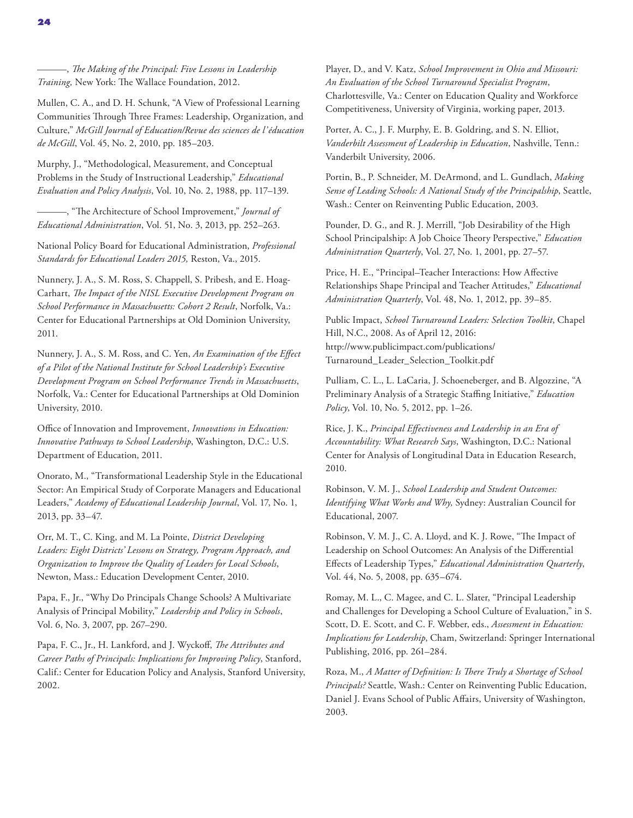Mullen, C. A., and D. H. Schunk, "A View of Professional Learning Communities Through Three Frames: Leadership, Organization, and Culture," *McGill Journal of Education/Revue des sciences de l'éducation de McGill*, Vol. 45, No. 2, 2010, pp. 185–203.

Murphy, J., "Methodological, Measurement, and Conceptual Problems in the Study of Instructional Leadership," *Educational Evaluation and Policy Analysis*, Vol. 10, No. 2, 1988, pp. 117–139.

———, "The Architecture of School Improvement," *Journal of Educational Administration*, Vol. 51, No. 3, 2013, pp. 252–263.

National Policy Board for Educational Administration, *Professional Standards for Educational Leaders 2015,* Reston, Va., 2015.

Nunnery, J. A., S. M. Ross, S. Chappell, S. Pribesh, and E. Hoag-Carhart, *The Impact of the NISL Executive Development Program on School Performance in Massachusetts: Cohort 2 Result*, Norfolk, Va.: Center for Educational Partnerships at Old Dominion University, 2011.

Nunnery, J. A., S. M. Ross, and C. Yen, *An Examination of the Effect of a Pilot of the National Institute for School Leadership's Executive Development Program on School Performance Trends in Massachusetts*, Norfolk, Va.: Center for Educational Partnerships at Old Dominion University, 2010.

Office of Innovation and Improvement, *Innovations in Education: Innovative Pathways to School Leadership*, Washington, D.C.: U.S. Department of Education, 2011.

Onorato, M., "Transformational Leadership Style in the Educational Sector: An Empirical Study of Corporate Managers and Educational Leaders," *Academy of Educational Leadership Journal*, Vol. 17, No. 1, 2013, pp. 33–47.

Orr, M. T., C. King, and M. La Pointe, *District Developing Leaders: Eight Districts' Lessons on Strategy, Program Approach, and Organization to Improve the Quality of Leaders for Local Schools*, Newton, Mass.: Education Development Center, 2010.

Papa, F., Jr., "Why Do Principals Change Schools? A Multivariate Analysis of Principal Mobility," *Leadership and Policy in Schools*, Vol. 6, No. 3, 2007, pp. 267–290.

Papa, F. C., Jr., H. Lankford, and J. Wyckoff, *The Attributes and Career Paths of Principals: Implications for Improving Policy*, Stanford, Calif.: Center for Education Policy and Analysis, Stanford University, 2002.

Player, D., and V. Katz, *School Improvement in Ohio and Missouri: An Evaluation of the School Turnaround Specialist Program*, Charlottesville, Va.: Center on Education Quality and Workforce Competitiveness, University of Virginia, working paper, 2013.

Porter, A. C., J. F. Murphy, E. B. Goldring, and S. N. Elliot, *Vanderbilt Assessment of Leadership in Education*, Nashville, Tenn.: Vanderbilt University, 2006.

Portin, B., P. Schneider, M. DeArmond, and L. Gundlach, *Making Sense of Leading Schools: A National Study of the Principalship*, Seattle, Wash.: Center on Reinventing Public Education, 2003.

Pounder, D. G., and R. J. Merrill, "Job Desirability of the High School Principalship: A Job Choice Theory Perspective," *Education Administration Quarterly*, Vol. 27, No. 1, 2001, pp. 27–57.

Price, H. E., "Principal–Teacher Interactions: How Affective Relationships Shape Principal and Teacher Attitudes," *Educational Administration Quarterly*, Vol. 48, No. 1, 2012, pp. 39–85.

Public Impact, *School Turnaround Leaders: Selection Toolkit*, Chapel Hill, N.C., 2008. As of April 12, 2016: http://www.publicimpact.com/publications/ [Turnaround\\_Leader\\_Selection\\_Toolkit.pdf](http://www.publicimpact.com/publications/Turnaround_Leader_Selection_Toolkit.pdf) 

Pulliam, C. L., L. LaCaria, J. Schoeneberger, and B. Algozzine, "A Preliminary Analysis of a Strategic Staffing Initiative," *Education Policy*, Vol. 10, No. 5, 2012, pp. 1–26.

Rice, J. K., *Principal Effectiveness and Leadership in an Era of Accountability: What Research Says*, Washington, D.C.: National Center for Analysis of Longitudinal Data in Education Research, 2010.

Robinson, V. M. J., *School Leadership and Student Outcomes: Identifying What Works and Why,* Sydney: Australian Council for Educational, 2007.

Robinson, V. M. J., C. A. Lloyd, and K. J. Rowe, "The Impact of Leadership on School Outcomes: An Analysis of the Differential Effects of Leadership Types," *Educational Administration Quarterly*, Vol. 44, No. 5, 2008, pp. 635–674.

Romay, M. L., C. Magee, and C. L. Slater, "Principal Leadership and Challenges for Developing a School Culture of Evaluation," in S. Scott, D. E. Scott, and C. F. Webber, eds., *Assessment in Education: Implications for Leadership*, Cham, Switzerland: Springer International Publishing, 2016, pp. 261–284.

Roza, M., *A Matter of Definition: Is There Truly a Shortage of School Principals?* Seattle, Wash.: Center on Reinventing Public Education, Daniel J. Evans School of Public Affairs, University of Washington, 2003.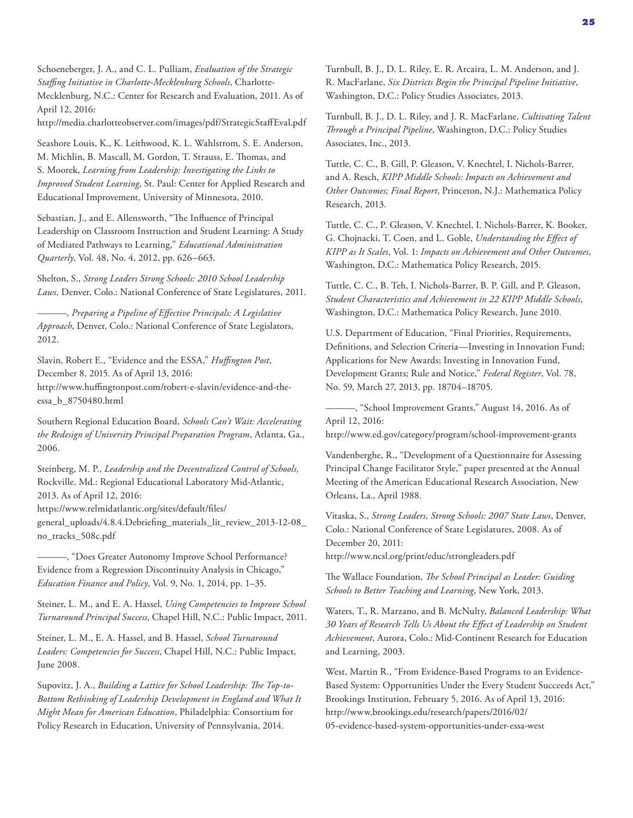Schoeneberger, J. A., and C. L. Pulliam, *Evaluation of the Strategic Staffing Initiative in Charlotte-Mecklenburg Schools*, Charlotte-Mecklenburg, N.C.: Center for Research and Evaluation, 2011. As of April 12, 2016:

<http://media.charlotteobserver.com/images/pdf/StrategicStaffEval.pdf>

Seashore Louis, K., K. Leithwood, K. L. Wahlstrom, S. E. Anderson, M. Michlin, B. Mascall, M. Gordon, T. Strauss, E. Thomas, and S. Moorek, *Learning from Leadership: Investigating the Links to Improved Student Learning*, St. Paul: Center for Applied Research and Educational Improvement, University of Minnesota, 2010.

Sebastian, J., and E. Allensworth, "The Influence of Principal Leadership on Classroom Instruction and Student Learning: A Study of Mediated Pathways to Learning," *Educational Administration Quarterly*, Vol. 48, No. 4, 2012, pp. 626–663.

Shelton, S., *Strong Leaders Strong Schools: 2010 School Leadership Laws,* Denver, Colo.: National Conference of State Legislatures, 2011.

———, *Preparing a Pipeline of Effective Principals: A Legislative Approach*, Denver, Colo.: National Conference of State Legislators, 2012.

Slavin, Robert E., "Evidence and the ESSA," *Huffington Post*, December 8, 2015. As of April 13, 2016:

[http://www.huffingtonpost.com/robert-e-slavin/evidence-and-the](http://www.huffingtonpost.com/robert-e-slavin/evidence-and-the-essa_b_8750480.html)essa\_b\_8750480.html

Southern Regional Education Board, *Schools Can't Wait: Accelerating the Redesign of University Principal Preparation Program*, Atlanta, Ga., 2006.

Steinberg, M. P., *Leadership and the Decentralized Control of Schools,* Rockville, Md.: Regional Educational Laboratory Mid-Atlantic, 2013. As of April 12, 2016:

https://www.relmidatlantic.org/sites/default/files/

[general\\_uploads/4.8.4.Debriefing\\_materials\\_lit\\_review\\_2013-12-08\\_](https://www.relmidatlantic.org/sites/default/files/general_uploads/4.8.4.Debriefing_materials_lit_review_2013-12-08_no_tracks_508c.pdf) no\_tracks\_508c.pdf

———, "Does Greater Autonomy Improve School Performance? Evidence from a Regression Discontinuity Analysis in Chicago," *Education Finance and Policy*, Vol. 9, No. 1, 2014, pp. 1–35.

Steiner, L. M., and E. A. Hassel, *Using Competencies to Improve School Turnaround Principal Success*, Chapel Hill, N.C.: Public Impact, 2011.

Steiner, L. M., E. A. Hassel, and B. Hassel, *School Turnaround Leaders: Competencies for Success*, Chapel Hill, N.C.: Public Impact, June 2008.

Supovitz, J. A., *Building a Lattice for School Leadership: The Top-to-Bottom Rethinking of Leadership Development in England and What It Might Mean for American Education*, Philadelphia: Consortium for Policy Research in Education, University of Pennsylvania, 2014.

Turnbull, B. J., D. L. Riley, E. R. Arcaira, L. M. Anderson, and J. R. MacFarlane, *Six Districts Begin the Principal Pipeline Initiative*, Washington, D.C.: Policy Studies Associates, 2013.

Turnbull, B. J., D. L. Riley, and J. R. MacFarlane, *Cultivating Talent Through a Principal Pipeline*, Washington, D.C.: Policy Studies Associates, Inc., 2013.

Tuttle, C. C., B. Gill, P. Gleason, V. Knechtel, I. Nichols-Barrer, and A. Resch, *KIPP Middle Schools: Impacts on Achievement and Other Outcomes; Final Report*, Princeton, N.J.: Mathematica Policy Research, 2013.

Tuttle, C. C., P. Gleason, V. Knechtel, I. Nichols-Barrer, K. Booker, G. Chojnacki, T. Coen, and L. Goble, *Understanding the Effect of KIPP as It Scales*, Vol. 1: *Impacts on Achievement and Other Outcomes*, Washington, D.C.: Mathematica Policy Research, 2015.

Tuttle, C. C., B. Teh, I. Nichols-Barrer, B. P. Gill, and P. Gleason, *Student Characteristics and Achievement in 22 KIPP Middle Schools*, Washington, D.C.: Mathematica Policy Research, June 2010.

U.S. Department of Education, "Final Priorities, Requirements, Definitions, and Selection Criteria—Investing in Innovation Fund; Applications for New Awards; Investing in Innovation Fund, Development Grants; Rule and Notice," *Federal Register*, Vol. 78, No. 59, March 27, 2013, pp. 18704–18705.

———, "School Improvement Grants," August 14, 2016. As of April 12, 2016:

<http://www.ed.gov/category/program/school-improvement-grants>

Vandenberghe, R., "Development of a Questionnaire for Assessing Principal Change Facilitator Style," paper presented at the Annual Meeting of the American Educational Research Association, New Orleans, La., April 1988.

Vitaska, S., *Strong Leaders, Strong Schools: 2007 State Laws*, Denver, Colo.: National Conference of State Legislatures, 2008. As of December 20, 2011: <http://www.ncsl.org/print/educ/strongleaders.pdf>

The Wallace Foundation, *The School Principal as Leader: Guiding Schools to Better Teaching and Learning*, New York, 2013.

Waters, T., R. Marzano, and B. McNulty, *Balanced Leadership: What 30 Years of Research Tells Us About the Effect of Leadership on Student Achievement*, Aurora, Colo.: Mid-Continent Research for Education and Learning, 2003.

West, Martin R., "From Evidence-Based Programs to an Evidence-Based System: Opportunities Under the Every Student Succeeds Act," Brookings Institution, February 5, 2016. As of April 13, 2016: http://www.brookings.edu/research/papers/2016/02/ [05-evidence-based-system-opportunities-under-essa-west](http://www.brookings.edu/research/papers/2016/02/05-evidence-based-system-opportunities-under-essa-west)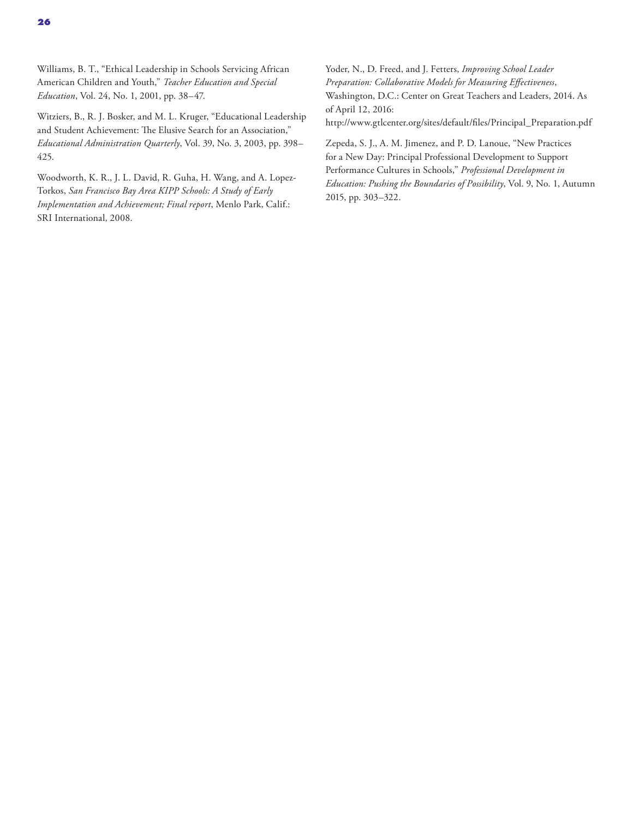Williams, B. T., "Ethical Leadership in Schools Servicing African American Children and Youth," *Teacher Education and Special Education*, Vol. 24, No. 1, 2001, pp. 38–47.

Witziers, B., R. J. Bosker, and M. L. Kruger, "Educational Leadership and Student Achievement: The Elusive Search for an Association," *Educational Administration Quarterly*, Vol. 39, No. 3, 2003, pp. 398– 425.

Woodworth, K. R., J. L. David, R. Guha, H. Wang, and A. Lopez-Torkos, *San Francisco Bay Area KIPP Schools: A Study of Early Implementation and Achievement; Final report*, Menlo Park, Calif.: SRI International, 2008.

Yoder, N., D. Freed, and J. Fetters, *Improving School Leader Preparation: Collaborative Models for Measuring Effectiveness*, Washington, D.C.: Center on Great Teachers and Leaders, 2014. As of April 12, 2016: [http://www.gtlcenter.org/sites/default/files/Principal\\_Preparation.pdf](http://www.gtlcenter.org/sites/default/files/Principal_Preparation.pdf)

Zepeda, S. J., A. M. Jimenez, and P. D. Lanoue, "New Practices for a New Day: Principal Professional Development to Support Performance Cultures in Schools," *Professional Development in Education: Pushing the Boundaries of Possibility*, Vol. 9, No. 1, Autumn 2015, pp. 303–322.